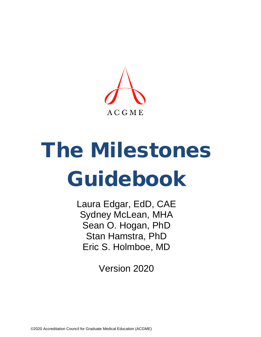

# The Milestones Guidebook

Laura Edgar, EdD, CAE Sydney McLean, MHA Sean O. Hogan, PhD Stan Hamstra, PhD Eric S. Holmboe, MD

Version 2020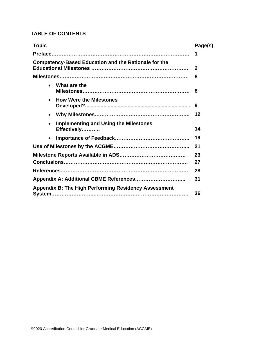## **TABLE OF CONTENTS**

| <b>Topic</b>                                                | Page(s)      |
|-------------------------------------------------------------|--------------|
|                                                             | 1            |
| <b>Competency-Based Education and the Rationale for the</b> | $\mathbf{2}$ |
| <u> Milestones………………………………………………………………………</u>               | 8            |
| What are the<br>$\bullet$                                   | 8            |
| <b>How Were the Milestones</b><br>$\bullet$                 | 9            |
| $\bullet$                                                   | 12           |
| <b>Implementing and Using the Milestones</b><br>Effectively | 14           |
| $\bullet$                                                   | 19           |
|                                                             | 21           |
|                                                             | 23           |
|                                                             | 27           |
|                                                             | 28           |
|                                                             | 31           |
| <b>Appendix B: The High Performing Residency Assessment</b> | 36           |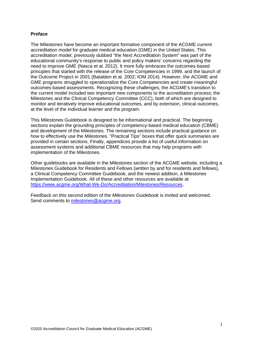#### **Preface**

The Milestones have become an important formative component of the ACGME current accreditation model for graduate medical education (GME) in the United States. This accreditation model, previously dubbed "the Next Accreditation System" was part of the educational community's response to public and policy makers' concerns regarding the need to improve GME (Nasca et al. 2012). It more fully embraces the outcomes-based principles that started with the release of the Core Competencies in 1999, and the launch of the Outcome Project in 2001 (Batalden et al. 2002; IOM 2014). However, the ACGME and GME programs struggled to operationalize the Core Competencies and create meaningful outcomes-based assessments. Recognizing these challenges, the ACGME's transition to the current model included two important new components to the accreditation process; the Milestones and the Clinical Competency Committee (CCC), both of which are designed to monitor and iteratively improve educational outcomes, and by extension, clinical outcomes, at the level of the individual learner and the program.

This Milestones Guidebook is designed to be informational and practical. The beginning sections explain the grounding principles of competency-based medical education (CBME) and development of the Milestones. The remaining sections include practical guidance on how to effectively use the Milestones. "Practical Tips" boxes that offer quick summaries are provided in certain sections. Finally, appendices provide a list of useful information on assessment systems and additional CBME resources that may help programs with implementation of the Milestones.

Other guidebooks are available in the Milestones section of the ACGME website, including a Milestones Guidebook for Residents and Fellows (written by and for residents and fellows), a Clinical Competency Committee Guidebook, and the newest addition, a Milestones Implementation Guidebook. All of these and other resources are available at [https://www.acgme.org/What-We-Do/Accreditation/Milestones/Resources.](https://www.acgme.org/What-We-Do/Accreditation/Milestones/Resources)

Feedback on this second edition of the *Milestones Guidebook* is invited and welcomed. Send comments to [milestones@acgme.org.](mailto:milestones@acgme.org)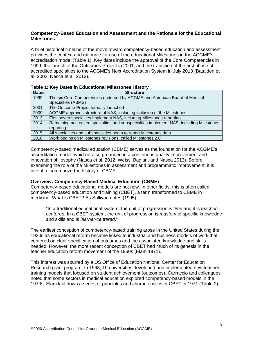## **Competency-Based Education and Assessment and the Rationale for the Educational Milestones**

A brief historical timeline of the move toward competency-based education and assessment provides the context and rationale for use of the educational Milestones in the ACGME's accreditation model (Table 1). Key dates include the approval of the Core Competencies in 1999, the launch of the Outcomes Project in 2001, and the transition of the first phase of accredited specialties to the ACGME's Next Accreditation System in July 2013 (Batalden et al. 2002; Nasca et al. 2012).

|              | ן שטוט ד. ו ויט ד טמוטט ווו בשטטמוטוומו וווויטטנטווטט ו וויטנטו                         |  |  |  |
|--------------|-----------------------------------------------------------------------------------------|--|--|--|
| <b>Dates</b> | <b>Structure</b>                                                                        |  |  |  |
| 1999         | The six Core Competencies endorsed by ACGME and American Board of Medical               |  |  |  |
|              | Specialties (ABMS)                                                                      |  |  |  |
| 2001         | The Outcome Project formally launched                                                   |  |  |  |
| 2009         | ACGME approves structure of NAS, including inclusion of the Milestones                  |  |  |  |
| 2013         | First seven specialties implement NAS, including Milestones reporting                   |  |  |  |
| 2014         | Remaining accredited specialties and subspecialties implement NAS, including Milestones |  |  |  |
|              | reportina                                                                               |  |  |  |
| 2015         | All specialties and subspecialties begin to report Milestones data                      |  |  |  |
| 2018         | Work begins on Milestones revisions, called Milestones 2.0                              |  |  |  |

|  |  | Table 1: Key Dates in Educational Milestones History |  |  |
|--|--|------------------------------------------------------|--|--|
|--|--|------------------------------------------------------|--|--|

Competency-based medical education (CBME) serves as the foundation for the ACGME's accreditation model, which is also grounded in a continuous quality improvement and innovation philosophy (Nasca et al. 2012; Weiss, Bagian, and Nasca 2013). Before examining the role of the Milestones in assessment and programmatic improvement, it is useful to summarize the history of CBME.

#### **Overview: Competency-Based Medical Education (CBME)**

Competency-based educational models are not new. In other fields, this is often called competency-based education and training (CBET), a term transformed to CBME in medicine. What is CBET? As Sullivan notes (1995):

"In a traditional educational system, the unit of progression is *time* and it is *teachercentered.* In a CBET system, the unit of progression is *mastery* of specific knowledge and skills and is *learner-centered*."

The earliest conception of competency-based training arose in the United States during the 1920s as educational reform became linked to industrial and business models of work that centered on clear specification of outcomes and the associated knowledge and skills needed. However, the more recent conception of CBET had much of its genesis in the teacher education reform movement of the 1960s (Elam 1971).

This interest was spurred by a US Office of Education National Center for Education Research grant program. In 1968, 10 universities developed and implemented new teacher training models that focused on student achievement (outcomes). Carraccio and colleagues noted that some sectors in medical education explored competency-based models in the 1970s. Elam laid down a series of principles and characteristics of CBET in 1971 (Table 2).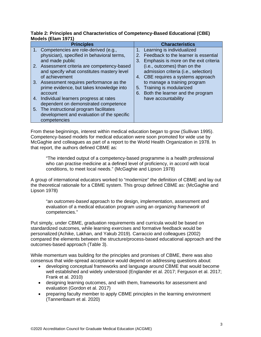## **Table 2: Principles and Characteristics of Competency-Based Educational (CBE) Models (Elam 1971)**

| <b>Principles</b>                           |    | <b>Characteristics</b>                |
|---------------------------------------------|----|---------------------------------------|
| 1. Competencies are role-derived (e.g.,     |    | Learning is individualized            |
| physician), specified in behavioral terms,  | 2. | Feedback to the learner is essential  |
| and made public                             | 3. | Emphasis is more on the exit criteria |
| 2. Assessment criteria are competency-based |    | (i.e., outcomes) than on the          |
| and specify what constitutes mastery level  |    | admission criteria (i.e., selection)  |
| of achievement                              | 4. | CBE requires a systems approach       |
| 3. Assessment requires performance as the   |    | to manage a training program          |
| prime evidence, but takes knowledge into    | 5. | Training is modularized               |
| account                                     | 6. | Both the learner and the program      |
| 4. Individual learners progress at rates    |    | have accountability                   |
| dependent on demonstrated competence        |    |                                       |
| 5. The instructional program facilitates    |    |                                       |
| development and evaluation of the specific  |    |                                       |
| competencies                                |    |                                       |

From these beginnings, interest within medical education began to grow (Sullivan 1995). Competency-based models for medical education were soon promoted for wide use by McGaghie and colleagues as part of a report to the World Health Organization in 1978. In that report, the authors defined CBME as:

"The intended output of a competency-based programme is a health professional who can practise medicine at a defined level of proficiency, in accord with local conditions, to meet local needs." (McGaghie and Lipson 1978)

A group of international educators worked to "modernize" the definition of CBME and lay out the theoretical rationale for a CBME system. This group defined CBME as: (McGaghie and Lipson 1978)

"an *outcomes-based* approach to the design, implementation, assessment and evaluation of a medical education program using an *organizing framework* of competencies."

Put simply, under CBME, graduation requirements and curricula would be based on standardized outcomes, while learning exercises and formative feedback would be personalized (Achike, Lakhan, and Yakub 2019). Carraccio and colleagues (2002) compared the elements between the structure/process-based educational approach and the outcomes-based approach (Table 3).

While momentum was building for the principles and promises of CBME, there was also consensus that wide-spread acceptance would depend on addressing questions about:

- developing conceptual frameworks and language around CBME that would become well established and widely understood (Englander et al. 2017; Ferguson et al. 2017; Frank et al. 2010)
- designing learning outcomes, and with them, frameworks for assessment and evaluation (Gordon et al. 2017)
- preparing faculty member to apply CBME principles in the learning environment (Tannenbaum et al. 2020)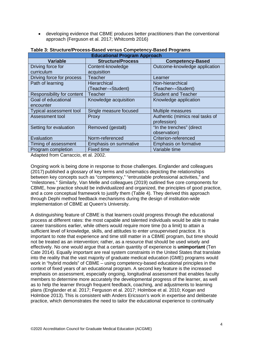• developing evidence that CBME produces better practitioners than the conventional approach (Ferguson et al. 2017; Whitcomb 2016)

| <b>Educational Program Approach</b> |                              |                                 |  |  |  |
|-------------------------------------|------------------------------|---------------------------------|--|--|--|
| <b>Variable</b>                     | <b>Structure/Process</b>     | <b>Competency-Based</b>         |  |  |  |
| Driving force for                   | Content-knowledge            | Outcome-knowledge application   |  |  |  |
| curriculum                          | acquisition                  |                                 |  |  |  |
| Driving force for process           | <b>Teacher</b>               | Learner                         |  |  |  |
| Path of learning                    | <b>Hierarchical</b>          | Non-hierarchical                |  |  |  |
|                                     | (Teacher→Student)            | (Teacher↔Student)               |  |  |  |
| Responsibility for content          | Teacher                      | <b>Student and Teacher</b>      |  |  |  |
| Goal of educational                 | Knowledge acquisition        | Knowledge application           |  |  |  |
| encounter                           |                              |                                 |  |  |  |
| Typical assessment tool             | Single measure focused       | <b>Multiple measures</b>        |  |  |  |
| Assessment tool                     | Proxy                        | Authentic (mimics real tasks of |  |  |  |
|                                     |                              | profession)                     |  |  |  |
| Setting for evaluation              | Removed (gestalt)            | "In the trenches" (direct       |  |  |  |
|                                     |                              | observation)                    |  |  |  |
| Evaluation                          | Norm-referenced              | Criterion-referenced            |  |  |  |
| Timing of assessment                | <b>Emphasis on summative</b> | <b>Emphasis on formative</b>    |  |  |  |
| Program completion                  | <b>Fixed time</b>            | Variable time                   |  |  |  |

#### **Table 3: Structure/Process-Based versus Competency-Based Programs**

Adapted from Carraccio, et al. 2002.

Ongoing work is being done in response to those challenges. Englander and colleagues (2017) published a glossary of key terms and schematics depicting the relationships between key concepts such as "competency," "entrustable professional activities," and "milestones." Similarly, Van Melle and colleagues (2019) outlined five core components for CBME, how practice should be individualized and organized, the principles of good practice, and a core conceptual framework to justify them (Table 4). They derived this approach through Dephi method feedback mechanisms during the design of institution-wide implementation of CBME at Queen's University.

A distinguishing feature of CBME is that learners could progress through the educational process at different rates: the most capable and talented individuals would be able to make career transitions earlier, while others would require more time (to a limit) to attain a sufficient level of knowledge, skills, and attitudes to enter unsupervised practice. It is important to note that experience and time still matter in a CBME program, but time should not be treated as an intervention; rather, as a resource that should be used wisely and effectively. No one would argue that a certain quantity of experience is **unimportant** (Ten Cate 2014). Equally important are real system constraints in the United States that translate into the reality that the vast majority of graduate medical education (GME) programs would work in "hybrid models" of CBME – using competency-based educational principles in the context of fixed years of an educational program. A second key feature is the increased emphasis on assessment, especially ongoing, longitudinal assessment that enables faculty members to determine more accurately the developmental progress of the learner, as well as to help the learner through frequent feedback, coaching, and adjustments to learning plans (Englander et al. 2017; Ferguson et al. 2017; Holmboe et al. 2010; Kogan and Holmboe 2013). This is consistent with Anders Ericsson's work in expertise and deliberate practice, which demonstrates the need to tailor the educational experience to continually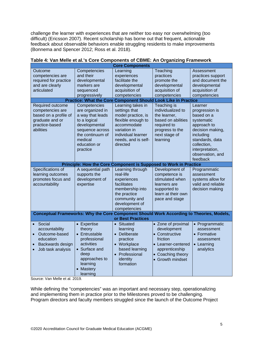challenge the learner with experiences that are neither too easy nor overwhelming (too difficult) (Ericsson 2007). Recent scholarship has borne out that frequent, actionable feedback about observable behaviors enable struggling residents to make improvements (Bonnema and Spencer 2012; Ross et al. 2018).

| <b>Core Components</b>                                                                                                                                                                                    |                                                                                                                                                                                                                                                                |                                                                                                                                                                                                                                                                                                                                          |                                                                                                                                                                                                                                  |                                                                                                                                                                                                                                                                                          |
|-----------------------------------------------------------------------------------------------------------------------------------------------------------------------------------------------------------|----------------------------------------------------------------------------------------------------------------------------------------------------------------------------------------------------------------------------------------------------------------|------------------------------------------------------------------------------------------------------------------------------------------------------------------------------------------------------------------------------------------------------------------------------------------------------------------------------------------|----------------------------------------------------------------------------------------------------------------------------------------------------------------------------------------------------------------------------------|------------------------------------------------------------------------------------------------------------------------------------------------------------------------------------------------------------------------------------------------------------------------------------------|
| Outcome<br>competencies are<br>required for practice<br>and are clearly<br>articulated<br>Required outcome<br>competencies are<br>based on a profile of<br>graduate and or<br>practice-based<br>abilities | Competencies<br>and their<br>developmental<br>markers are<br>sequenced<br>progressively<br>Competencies<br>are organized in<br>a way that leads<br>to a logical<br>developmental<br>sequence across<br>the continuum of<br>medical<br>education or<br>practice | Learning<br>experiences<br>facilitate the<br>developmental<br>acquisition of<br>competencies<br>Practice: What the Core Component Should Look Like in Practice<br>Learning takes in<br>settings that<br>model practice, is<br>flexible enough to<br>accommodate<br>variation in<br>individual learner<br>needs, and is self-<br>directed | Teaching<br>practices<br>promote the<br>developmental<br>acquisition of<br>competencies<br>Teaching is<br>individualized to<br>the learner,<br>based on abilities<br>required to<br>progress to the<br>next stage of<br>learning | Assessment<br>practices support<br>and document the<br>developmental<br>acquisition of<br>competencies<br>Learner<br>progression is<br>based on a<br>systematic<br>approach to<br>decision making,<br>including<br>standards, data<br>collection,<br>interpretation,<br>observation, and |
|                                                                                                                                                                                                           |                                                                                                                                                                                                                                                                |                                                                                                                                                                                                                                                                                                                                          |                                                                                                                                                                                                                                  | feedback                                                                                                                                                                                                                                                                                 |
|                                                                                                                                                                                                           |                                                                                                                                                                                                                                                                | Principle: How the Core Component is Supposed to Work in Practice                                                                                                                                                                                                                                                                        |                                                                                                                                                                                                                                  |                                                                                                                                                                                                                                                                                          |
| Specifications of<br>learning outcomes<br>promotes focus and<br>accountability                                                                                                                            | A sequential path<br>supports the<br>development of<br>expertise                                                                                                                                                                                               | Learning through<br>real-life<br>experiences<br>facilitates<br>membership into<br>the practice<br>community and<br>development of<br>competencies                                                                                                                                                                                        | Development of<br>competence is<br>stimulated when<br>learners are<br>supported to<br>learn at their own<br>pace and stage                                                                                                       | Programmatic<br>assessment<br>systems allow for<br>valid and reliable<br>decision making                                                                                                                                                                                                 |
| Conceptual Frameworks: Why the Core Component Should Work According to Theories, Models,                                                                                                                  |                                                                                                                                                                                                                                                                |                                                                                                                                                                                                                                                                                                                                          |                                                                                                                                                                                                                                  |                                                                                                                                                                                                                                                                                          |
|                                                                                                                                                                                                           |                                                                                                                                                                                                                                                                | or Best Practices                                                                                                                                                                                                                                                                                                                        |                                                                                                                                                                                                                                  |                                                                                                                                                                                                                                                                                          |
| Social<br>$\bullet$<br>accountability<br>Outcome-based<br>education<br>Backwards design<br>Job task analysis                                                                                              | • Expertise<br>theory<br>• Entrustable<br>professional<br>activities<br>• Surface and<br>deep<br>approaches to<br>learning<br>• Mastery<br>learning                                                                                                            | • Situated<br>learning<br>Deliberate<br>$\bullet$<br>practice<br>• Workplace<br>based learning<br>• Professional<br>identity<br>formation                                                                                                                                                                                                | • Zone of proximal<br>development<br>• Constructive<br>friction<br>• Learner-centered<br>apprenticeship<br>• Coaching theory<br>• Growth mindset                                                                                 | • Programmatic<br>assessment<br>• Formative<br>assessment<br>• Learning<br>analytics                                                                                                                                                                                                     |

#### **Table 4: Van Melle et al.'s Core Components of CBME: An Organizing Framework**

Source: Van Melle et al. 2019.

While defining the "competencies" was an important and necessary step, operationalizing and implementing them in practice prior to the Milestones proved to be challenging. Program directors and faculty members struggled since the launch of the Outcome Project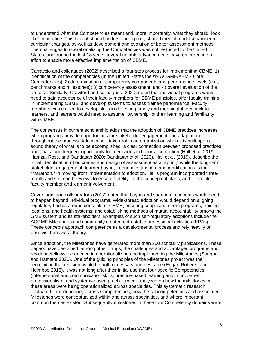to understand what the Competencies meant and, more importantly, what they should "look like" in practice. This lack of shared understanding (i.e., shared mental models) hampered curricular changes, as well as development and evolution of better assessment methods. The challenges to operationalizing the Competencies was not restricted to the United States, and during the last 18 years several notable advancements have emerged in an effort to enable more effective implementation of CBME.

Carraccio and colleagues (2002) described a four-step process for implementing CBME: 1) identification of the competencies (in the United States the six ACGME/ABMS Core Competencies); 2) determination of competency components and performance levels (e.g., benchmarks and milestones); 3) competency assessment; and 4) overall evaluation of the process. Similarly, Crawford and colleagues (2020) noted that individual programs would need to gain acceptance of their faculty members for CBME principles, offer faculty training in implementing CBME, and develop systems to assess trainee performance. Faculty members would need to develop skills in delivering timely and meaningful feedback to learners, and learners would need to assume "ownership" of their learning and familiarity with CMBE.

The consensus in current scholarship adds that the adoption of CBME practices increases when programs provide opportunities for stakeholder engagement and adaptation throughout the process. Adoption will take root in an organization when it is built upon a sound theory of what is to be accomplished, a clear connection between proposed practices and goals, and frequent opportunity for feedback, and course correction (Hall et al. 2019; Hamza, Ross, and Oandasan 2020; Oandasan et al. 2020). Hall et al. (2019), describe the initial identification of outcomes and design of assessment as a "sprint," while the long-term stakeholder engagement, learner buy-in, frequent evaluation, and modifications is the "marathon." In moving from implementation to adoption, Hall's program incorporated threemonth and six-month reviews to ensure "fidelity" to the conceptual plans, and to enable faculty member and learner involvement.

Caverzagie and collaborators (2017) noted that buy-in and sharing of concepts would need to happen beyond individual programs. Wide-spread adoption would depend on aligning regulatory bodies around concepts of CBME; ensuring cooperation from programs, training locations, and health systems; and establishing methods of mutual accountability among the GME system and its stakeholders. Examples of such self-regulatory adoptions include the ACGME Milestones and community created entrustable professional activities (EPAs). These concepts approach competence as a developmental process and rely heavily on positivist behavioral theory.

Since adoption, the Milestones have generated more than 350 scholarly publications. These papers have described, among other things, the challenges and advantages programs and residents/fellows experience in operationalizing and implementing the Milestones (Sangha and Hamstra 2020). One of the guiding principles of the Milestones project was the recognition that revision would be both necessary and desirable (Edgar, Roberts, and Holmboe 2018). It was not long after their initial use that four specific Competencies (interpersonal and communication skills, practice-based learning and improvement professionalism, and systems-based practice) were analyzed on how the milestones in these areas were being operationalized across specialties. This systematic research evaluated for redundancy across Competencies, how the subcompetencies and associated Milestones were conceptualized within and across specialties, and where important common themes existed. Subsequently milestones in these four Competency domains were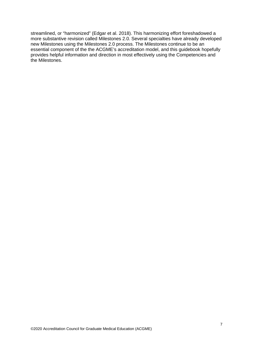streamlined, or "harmonized" (Edgar et al. 2018). This harmonizing effort foreshadowed a more substantive revision called Milestones 2.0. Several specialties have already developed new Milestones using the Milestones 2.0 process. The Milestones continue to be an essential component of the the ACGME's accreditation model, and this guidebook hopefully provides helpful information and direction in most effectively using the Competencies and the Milestones.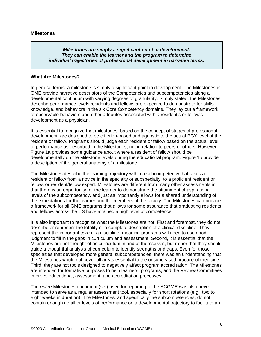#### *Milestones are simply a significant point in development. They can enable the learner and the program to determine individual trajectories of professional development in narrative terms.*

#### **What Are Milestones?**

In general terms, a milestone is simply a significant point in development. The Milestones in GME provide narrative descriptors of the Competencies and subcompetencies along a developmental continuum with varying degrees of granularity. Simply stated, the Milestones describe performance levels residents and fellows are expected to demonstrate for skills, knowledge, and behaviors in the six Core Competency domains. They lay out a framework of observable behaviors and other attributes associated with a resident's or fellow's development as a physician.

It is essential to recognize that milestones, based on the concept of stages of professional development, are designed to be criterion-based and agnostic to the actual PGY level of the resident or fellow. Programs should judge each resident or fellow based on the actual level of performance as described in the Milestones, not in relation to peers or others. However, Figure 1a provides some guidance about where a resident of fellow should be developmentally on the Milestone levels during the educational program. Figure 1b provide a description of the general anatomy of a milestone.

The Milestones describe the learning trajectory within a subcompetency that takes a resident or fellow from a novice in the specialty or subspecialty, to a proficient resident or fellow, or resident/fellow expert. Milestones are different from many other assessments in that there is an opportunity for the learner to demonstrate the attainment of aspirational levels of the subcompetency, and just as importantly allows for a shared understanding of the expectations for the learner and the members of the faculty. The Milestones can provide a framework for all GME programs that allows for some assurance that graduating residents and fellows across the US have attained a high level of competence.

It is also important to recognize what the Milestones are not. First and foremost, they do not describe or represent the totality or a complete description of a clinical discipline. They represent the important *core* of a discipline, meaning programs will need to use good judgment to fill in the gaps in curriculum and assessment. Second, it is essential that the Milestones are not thought of as curriculum in and of themselves, but rather that they should guide a thoughtful analysis of curriculum to identify strengths and gaps. Even for those specialties that developed more general subcompetencies, there was an understanding that the Milestones would not cover all areas essential to the unsupervised practice of medicine. Third, they are not tools designed to negatively affect program accreditation. The Milestones are intended for formative purposes to help learners, programs, and the Review Committees improve educational, assessment, and accreditation processes.

The *entire* Milestones document (set) used for reporting to the ACGME was also never intended to serve as a regular assessment tool, especially for short rotations (e.g., two to eight weeks in duration). The Milestones, and specifically the subcompetencies, do not contain enough detail or levels of performance on a developmental trajectory to facilitate an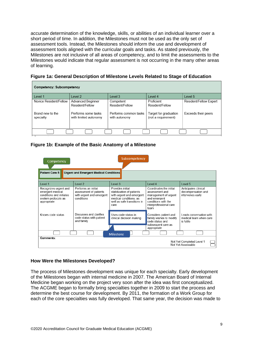accurate determination of the knowledge, skills, or abilities of an individual learner over a short period of time. In addition, the Milestones must not be used as the only set of assessment tools. Instead, the Milestones should inform the use and development of assessment tools aligned with the curricular goals and tasks. As stated previously, the Milestones are not inclusive of all areas of competency, and to limit the assessments to the Milestones would indicate that regular assessment is not occurring in the many other areas of learning.

| Figure 1a: General Description of Milestone Levels Related to Stage of Education |  |
|----------------------------------------------------------------------------------|--|
|----------------------------------------------------------------------------------|--|

| Competency: Subcompetency     |                                              |                                        |                                              |                        |
|-------------------------------|----------------------------------------------|----------------------------------------|----------------------------------------------|------------------------|
| I evel 1                      | Level 2                                      | Level 3                                | I evel 4                                     | Level 5                |
| Novice Resident/Fellow        | Advanced Beginner<br>Resident/Fellow         | Competent<br>Resident/Fellow           | Proficient<br>Resident/Fellow                | Resident/Fellow Expert |
| Brand new to the<br>specialty | Performs some tasks<br>with limited autonomy | Performs common tasks<br>with autonomy | Target for graduation<br>(not a requirement) | Exceeds their peers    |
|                               |                                              |                                        |                                              |                        |

## **Figure 1b: Example of the Basic Anatomy of a Milestone**

| Subcompetency<br>Competency                                                                                 |                                                                                         |                                                                                                                                            |                                                                                                                                            |                                                                |
|-------------------------------------------------------------------------------------------------------------|-----------------------------------------------------------------------------------------|--------------------------------------------------------------------------------------------------------------------------------------------|--------------------------------------------------------------------------------------------------------------------------------------------|----------------------------------------------------------------|
| Patient Care 5:                                                                                             | <b>Urgent and Emergent Medical Conditions</b>                                           |                                                                                                                                            |                                                                                                                                            |                                                                |
| Level 1                                                                                                     | Level 2                                                                                 | Level 3                                                                                                                                    | Level 4                                                                                                                                    | Level 5                                                        |
| Recognizes urgent and<br>emergent medical<br>conditions and initiates<br>system protocols as<br>appropriate | Performs an initial<br>assessment of patients<br>with urgent and emergent<br>conditions | Provides initial<br>stabilization of patients<br>with urgent and emergent<br>medical conditions, as<br>well as safe transitions in<br>care | Coordinates the initial<br>assessment and<br>management of urgent<br>and emergent<br>conditions with the<br>interprofessional care<br>team | Anticipates clinical<br>decompensation and<br>intervenes early |
| Knows code status                                                                                           | Discusses and clarifies<br>code status with patient<br>and family                       | Uses code status in<br>clinical decision making                                                                                            | Considers patient and<br>family wishes to modify<br>code status and<br>subsequent care as<br>appropriate                                   | Leads conversation with<br>medical team when care<br>is futile |
| <b>Milestone</b>                                                                                            |                                                                                         |                                                                                                                                            |                                                                                                                                            |                                                                |
| Comments:<br>Not Yet Completed Level 1<br>Not Yet Assessable                                                |                                                                                         |                                                                                                                                            |                                                                                                                                            |                                                                |

## **How Were the Milestones Developed?**

The process of Milestones development was unique for each specialty. Early development of the Milestones began with internal medicine in 2007. The American Board of Internal Medicine began working on the project very soon after the idea was first conceptualized. The ACGME began to formally bring specialties together in 2009 to start the process and determine the best course for development. By 2011, the formation of a Work Group for each of the core specialties was fully developed. That same year, the decision was made to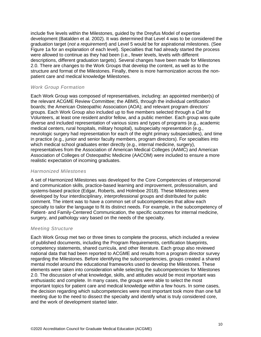include five levels within the Milestones, guided by the Dreyfus Model of expertise development (Batalden et al. 2002). It was determined that Level 4 was to be considered the graduation target (*not a requirement*) and Level 5 would be for aspirational milestones. (See Figure 1a for an explanation of each level). Specialties that had already started the process were allowed to continue as they had been (i.e., fewer levels, levels with different descriptions, different graduation targets). Several changes have been made for Milestones 2.0. There are changes to the Work Groups that develop the content, as well as to the structure and format of the Milestones. Finally, there is more harmonization across the nonpatient care and medical knowledge Milestones.

## *Work Group Formation*

Each Work Group was composed of representatives, including: an appointed member(s) of the relevant ACGME Review Committee; the ABMS, through the individual certification boards; the American Osteopathic Association (AOA); and relevant program directors' groups. Each Work Group also included up to five members selected through a Call for Volunteers, at least one resident and/or fellow, and a public member. Each group was quite diverse and included representation of various sizes and types of programs (e.g., academic medical centers, rural hospitals, military hospital), subspecialty representation (e.g., neurologic surgery had representation for each of the eight primary subspecialties), and time in practice (e.g., junior and senior faculty members, program directors). For specialties into which medical school graduates enter directly (e.g., internal medicine, surgery), representatives from the Association of American Medical Colleges (AAMC) and American Association of Colleges of Osteopathic Medicine (AACOM) were included to ensure a more realistic expectation of incoming graduates.

#### *Harmonized Milestones*

A set of Harmonized Milestones was developed for the Core Competencies of interpersonal and communication skills, practice-based learning and improvement, professionalism, and systems-based practice (Edgar, Roberts, and Holmboe 2018). These Milestones were developed by four interdisciplinary, interprofessional groups and distributed for public comment. The intent was to have a common set of subcompetencies that allow each specialty to tailor the language to fit its distinct needs. For example, in the subcompetency of Patient- and Family-Centered Communication, the specific outcomes for internal medicine, surgery, and pathology vary based on the needs of the specialty.

#### *Meeting Structure*

Each Work Group met two or three times to complete the process, which included a review of published documents, including the Program Requirements, certification blueprints, competency statements, shared curricula, and other literature. Each group also reviewed national data that had been reported to ACGME and results from a program director survey regarding the Milestones. Before identifying the subcompetencies, groups created a shared mental model around the educational frameworks used to develop the Milestones. These elements were taken into consideration while selecting the subcompetencies for Milestones 2.0. The discussion of what knowledge, skills, and attitudes would be most important was enthusiastic and complete. In many cases, the groups were able to select the most important topics for patient care and medical knowledge within a few hours. In some cases, the decision regarding which subcompetencies were most important took more than one full meeting due to the need to dissect the specialty and identify what is truly considered core, and the work of development started later.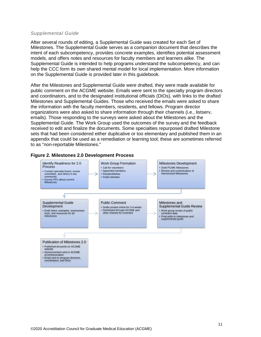#### *Supplemental Guide*

After several rounds of editing, a Supplemental Guide was created for each Set of Milestones. The Supplemental Guide serves as a companion document that describes the intent of each subcompetency, provides concrete examples, identifies potential assessment models, and offers notes and resources for faculty members and learners alike. The Supplemental Guide is intended to help programs understand the subcompetency, and can help the CCC form its own shared mental model for local implementation. More information on the Supplemental Guide is provided later in this guidebook.

After the Milestones and Supplemental Guide were drafted, they were made available for public comment on the ACGME website. Emails were sent to the specialty program directors and coordinators, and to the designated institutional officials (DIOs), with links to the drafted Milestones and Supplemental Guides. Those who received the emails were asked to share the information with the faculty members, residents, and fellows. Program director organizations were also asked to share information through their channels (i.e., listserv, emails). Those responding to the surveys were asked about the Milestones and the Supplemental Guide. The Work Group used the outcomes of the survey and the feedback received to edit and finalize the documents. Some specialties repurposed drafted Milestone sets that had been considered either duplicative or too elementary and published them in an appendix that could be used as a remediation or learning tool; these are sometimes referred to as "non-reportable Milestones."



#### **Figure 2. Milestones 2.0 Development Process**

• Email sent to program directors, coordinators, and DIOs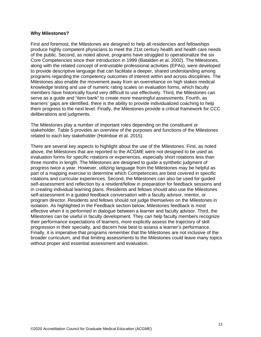#### **Why Milestones?**

First and foremost, the Milestones are designed to help all residencies and fellowships produce highly competent physicians to meet the 21st century health and health care needs of the public. Second, as noted above, programs have struggled to operationalize the six Core Competencies since their introduction in 1999 (Batalden et al. 2002). The Milestones, along with the related concept of entrustable professional activities (EPAs), were developed to provide descriptive language that can facilitate a deeper, shared understanding among programs regarding the competency outcomes of interest within and across disciplines. The Milestones also enable the movement away from an overreliance on high stakes medical knowledge testing and use of numeric rating scales on evaluation forms, which faculty members have historically found very difficult to use effectively. Third, the Milestones can serve as a guide and "item bank" to create more meaningful assessments. Fourth, as learners' gaps are identified, there is the ability to provide individualized coaching to help them progress to the next level. Finally, the Milestones provide a critical framework for CCC deliberations and judgments.

The Milestones play a number of important roles depending on the constituent or stakeholder. Table 5 provides an overview of the purposes and functions of the Milestones related to each key stakeholder (Holmboe et al. 2015).

There are several key aspects to highlight about the use of the Milestones. First, as noted above, the Milestones that are reported to the ACGME were not designed to be used as evaluation forms for specific rotations or experiences, especially short rotations less than three months in length. The Milestones are designed to guide a synthetic judgment of progress twice a year. However, utilizing language from the Milestones may be helpful as part of a mapping exercise to determine which Competencies are best covered in specific rotations and curricular experiences. Second, the Milestones can also be used for guided self-assessment and reflection by a resident/fellow in preparation for feedback sessions and in creating individual learning plans. Residents and fellows should also use the Milestones self-assessment in a guided feedback conversation with a faculty advisor, mentor, or program director. Residents and fellows should not judge themselves on the Milestones in isolation. As highlighted in the Feedback section below, Milestones feedback is most effective when it is performed in dialogue between a learner and faculty advisor. Third, the Milestones can be useful in faculty development. They can help faculty members recognize their performance expectations of learners, more explicitly assess the trajectory of skill progression in their specialty, and discern how best to assess a learner's performance. Finally, it is imperative that programs remember that the Milestones are not inclusive of the broader curriculum, and that limiting assessments to the Milestones could leave many topics without proper and essential assessment and evaluation.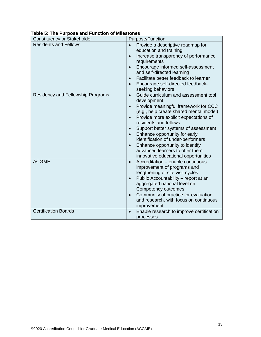| Constituency or Stakeholder       | <b>Purpose/Function</b>                                                                                                                                                                                                                                                                                                                                                                                                                                                      |
|-----------------------------------|------------------------------------------------------------------------------------------------------------------------------------------------------------------------------------------------------------------------------------------------------------------------------------------------------------------------------------------------------------------------------------------------------------------------------------------------------------------------------|
| <b>Residents and Fellows</b>      | Provide a descriptive roadmap for<br>education and training<br>Increase transparency of performance<br>$\bullet$<br>requirements<br>Encourage informed self-assessment<br>and self-directed learning<br>Facilitate better feedback to learner<br>$\bullet$<br>Encourage self-directed feedback-<br>seeking behaviors                                                                                                                                                         |
| Residency and Fellowship Programs | Guide curriculum and assessment tool<br>$\bullet$<br>development<br>Provide meaningful framework for CCC<br>(e.g., help create shared mental model)<br>Provide more explicit expectations of<br>$\bullet$<br>residents and fellows<br>Support better systems of assessment<br>Enhance opportunity for early<br>$\bullet$<br>identification of under-performers<br>Enhance opportunity to identify<br>advanced learners to offer them<br>innovative educational opportunities |
| <b>ACGME</b>                      | Accreditation - enable continuous<br>$\bullet$<br>improvement of programs and<br>lengthening of site visit cycles<br>Public Accountability - report at an<br>aggregated national level on<br>Competency outcomes<br>Community of practice for evaluation<br>$\bullet$<br>and research, with focus on continuous<br>improvement                                                                                                                                               |
| <b>Certification Boards</b>       | Enable research to improve certification<br>$\bullet$<br>processes                                                                                                                                                                                                                                                                                                                                                                                                           |

## **Table 5: The Purpose and Function of Milestones**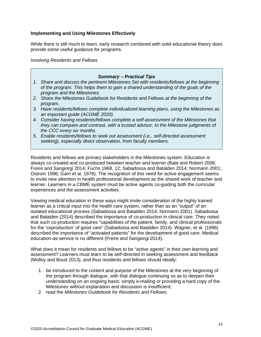## **Implementing and Using Milestones Effectively**

While there is still much to learn, early research combined with solid educational theory does provide some useful guidance for programs.

*Involving Residents and Fellows*

| <b>Summary - Practical Tips</b>                                                           |
|-------------------------------------------------------------------------------------------|
| 1. Share and discuss the pertinent Milestones Set with residents/fellows at the beginning |
| of the program. This helps them to gain a shared understanding of the goals of the        |
| program and the Milestones.                                                               |
| 2. Share the Milestones Guidebook for Residents and Fellows at the beginning of the       |
| program.                                                                                  |
| 3. Have residents/fellows complete individualized learning plans, using the Milestones as |
| an important guide (ACGME 2020).                                                          |
| 4. Consider having residents/fellows complete a self-assessment of the Milestones that    |
| they can compare and contrast, with a trusted advisor, to the Milestone judgments of      |
| the CCC every six months.                                                                 |
| 5 Friendle residents/fellows to seek out assessment (i.e. self-directed assessment        |

*5. Enable residents/fellows to seek out assessment (i.e., self-directed assessment seeking), especially direct observation, from faculty members.*

Residents and fellows are primary stakeholders in the Milestones system. Education is always co-created and co-produced between teacher and learner (Bate and Robert 2006; Freire and Sangiorgi 2014; Fuchs 1968, 12; Sabadossa and Batalden 2014; Normann 2001; Ostrom 1996; Garn et al. 1976). The recognition of this need for active engagement seems to invite new attention in health professional development as the shared work of teacher and learner. Learners in a CBME system must be active agents co-guiding both the curricular experiences and the assessment activities.

Viewing medical education in these ways might invite consideration of the highly trained learner as a critical input into the health care system, rather than as an "output" of an isolated educational process (Sabadossa and Batalden 2014; Normann 2001). Sabadossa and Batalden (2014) described the importance of co-production in clinical care. They noted that such co-production requires "capabilities of the patient, family, and clinical professionals for the 'coproduction' of good care" (Sabadossa and Batalden 2014). Wagner, et al. (1996) described the importance of "activated patients" for the development of good care. Medical education-as-service is no different (Freire and Sangiorgi 2014).

What does it mean for residents and fellows to be "active agents" in their own learning and assessment? Learners must learn to be self-directed in seeking assessment and feedback (Molloy and Boud 2013), and thus residents and fellows should ideally:

- 1. be introduced to the content and purpose of the Milestones at the very beginning of the program through dialogue, with that dialogue continuing so as to deepen their understanding on an ongoing basis; simply e-mailing or providing a hard copy of the Milestones without explanation and discussion is insufficient;
- 2. read the *Milestones Guidebook for Residents and Fellows*;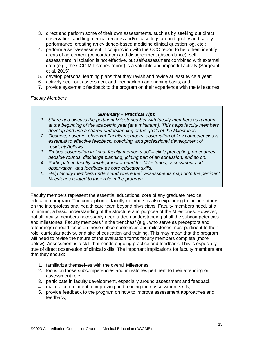- 3. direct and perform some of their own assessments, such as by seeking out direct observation, auditing medical records and/or case logs around quality and safety performance, creating an evidence-based medicine clinical question log, etc.;
- 4. perform a self-assessment in conjunction with the CCC report to help them identify areas of agreement (concordance) and disagreement (discordance); selfassessment in isolation is not effective, but self-assessment combined with external data (e.g., the CCC Milestones report) is a valuable and impactful activity (Sargeant et al. 2015);
- 5. develop personal learning plans that they revisit and revise at least twice a year;
- 6. actively seek out assessment and feedback on an ongoing basis; and,
- 7. provide systematic feedback to the program on their experience with the Milestones.

*Faculty Members*

### *Summary – Practical Tips*

- *1. Share and discuss the pertinent Milestones Set with faculty members as a group at the beginning of the academic year (at a minimum). This helps faculty members develop and use a shared understanding of the goals of the Milestones.*
- *2. Observe, observe, observe! Faculty members' observation of key competencies is essential to effective feedback, coaching, and professional development of residents/fellows.*
- *3. Embed observation in "what faculty members do" – clinic precepting, procedures, bedside rounds, discharge planning, joining part of an admission, and so on.*
- *4. Participate in faculty development around the Milestones, assessment and observation, and feedback as core educator skills.*
- *5. Help faculty members understand where their assessments map onto the pertinent Milestones related to their role in the program.*

Faculty members represent the essential educational core of any graduate medical education program. The conception of faculty members is also expanding to include others on the interprofessional health care team beyond physicians. Faculty members need, at a minimum, a basic understanding of the structure and purpose of the Milestones. However, not all faculty members necessarily need a deep understanding of all the subcompetencies and milestones. Faculty members "in the trenches" (e.g., who serve as preceptors and attendings) should focus on those subcompetencies and milestones most pertinent to their role, curricular activity, and site of education and training. This may mean that the program will need to revise the nature of the evaluation forms faculty members complete (more below). Assessment is a skill that needs ongoing practice and feedback. This is especially true of direct observation of clinical skills. The important implications for faculty members are that they should:

- 1. familiarize themselves with the overall Milestones;
- 2. focus on those subcompetencies and milestones pertinent to their attending or assessment role;
- 3. participate in faculty development, especially around assessment and feedback;
- 4. make a commitment to improving and refining their assessment skills;
- 5. provide feedback to the program on how to improve assessment approaches and feedback;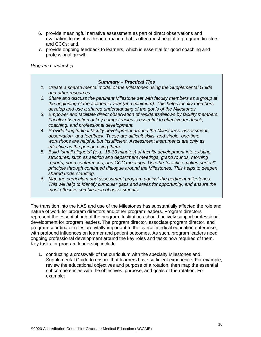- 6. provide meaningful narrative assessment as part of direct observations and evaluation forms–it is this information that is often most helpful to program directors and CCCs; and,
- 7. provide ongoing feedback to learners, which is essential for good coaching and professional growth.

*Program Leadership*

## *Summary – Practical Tips*

- *1. Create a shared mental model of the Milestones using the Supplemental Guide and other resources.*
- *2. Share and discuss the pertinent Milestone set with faculty members as a group at the beginning of the academic year (at a minimum). This helps faculty members develop and use a shared understanding of the goals of the Milestones.*
- *3. Empower and facilitate direct observation of residents/fellows by faculty members. Faculty observation of key competencies is essential to effective feedback, coaching, and professional development.*
- *4. Provide longitudinal faculty development around the Milestones, assessment, observation, and feedback. These are difficult skills, and single, one-time workshops are helpful, but insufficient. Assessment instruments are only as effective as the person using them.*
- *5. Build "small aliquots" (e.g., 15-30 minutes) of faculty development into existing structures, such as section and department meetings, grand rounds, morning reports, noon conferences, and CCC meetings. Use the "practice makes perfect" principle through continued dialogue around the Milestones. This helps to deepen shared understanding.*
- *6. Map the curriculum and assessment program against the pertinent milestones. This will help to identify curricular gaps and areas for opportunity, and ensure the most effective combination of assessments.*

The transition into the NAS and use of the Milestones has substantially affected the role and nature of work for program directors and other program leaders. Program directors represent the essential hub of the program. Institutions should actively support professional development for program leaders. The program director, associate program director, and program coordinator roles are vitally important to the overall medical education enterprise, with profound influences on learner and patient outcomes. As such, program leaders need ongoing professional development around the key roles and tasks now required of them. Key tasks for program leadership include:

1. conducting a crosswalk of the curriculum with the specialty Milestones and Supplemental Guide to ensure that learners have sufficient experience. For example, review the educational objectives and purpose of a rotation, then map the essential subcompetencies with the objectives, purpose, and goals of the rotation. For example: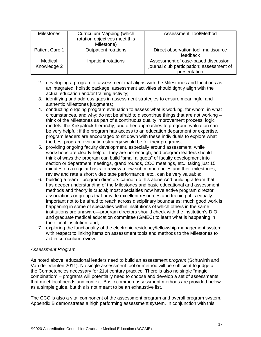| <b>Milestones</b>      | Curriculum Mapping (which<br>rotation objectives meet this<br>Milestone) | <b>Assessment Tool/Method</b>                                                                     |
|------------------------|--------------------------------------------------------------------------|---------------------------------------------------------------------------------------------------|
| <b>Patient Care 1</b>  | Outpatient rotations                                                     | Direct observation tool; multisource<br>feedback                                                  |
| Medical<br>Knowledge 2 | Inpatient rotations                                                      | Assessment of case-based discussion;<br>journal club participation; assessment of<br>presentation |

- 2. developing a program of assessment that aligns with the Milestones and functions as an integrated, holistic package; assessment activities should tightly align with the actual education and/or training activity;
- 3. identifying and address gaps in assessment strategies to ensure meaningful and authentic Milestones judgments;
- 4. conducting ongoing program evaluation to assess what is working, for whom, in what circumstances, and why; do not be afraid to discontinue things that are not working – think of the Milestones as part of a continuous quality improvement process; logic models, the Kirkpatrick hierarchy, and other approaches to program evaluation can be very helpful; if the program has access to an education department or expertise, program leaders are encouraged to sit down with these individuals to explore what the best program evaluation strategy would be for their programs;
- 5. providing ongoing faculty development, especially around assessment; while workshops are clearly helpful, they are not enough, and program leaders should think of ways the program can build "small aliquots" of faculty development into section or department meetings, grand rounds, CCC meetings, etc.; taking just 15 minutes on a regular basis to review a few subcompetencies and their milestones, review and rate a short video tape performance, etc., can be very valuable;
- 6. building a team—program directors cannot do this alone And building a team that has deeper understanding of the Milestones and basic educational and assessment methods and theory is crucial; most specialties now have active program director associations or groups that provide excellent resources and training; it is equally important not to be afraid to reach across disciplinary boundaries; much good work is happening in some of specialties within institutions of which others in the same institutions are unaware—program directors should check with the institution's DIO and graduate medical education committee (GMEC) to learn what is happening in their local institution; and,
- 7. exploring the functionality of the electronic residency/fellowship management system with respect to linking items on assessment tools and methods to the Milestones to aid in curriculum review.

## *Assessment Program*

As noted above, educational leaders need to build an assessment *program* (Schuwirth and Van der Vleuten 2011). No single assessment tool or method will be sufficient to judge all the Competencies necessary for 21st century practice. There is also no single "magic combination" – programs will potentially need to choose and develop a set of assessments that meet local needs and context. Basic common assessment methods are provided below as a simple guide, but this is not meant to be an exhaustive list.

The CCC is also a vital component of the assessment program and overall program system. Appendix B demonstrates a high performing assessment system. In conjunction with this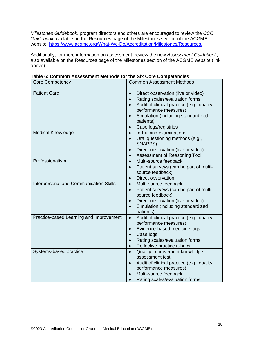*Milestones Guidebook*, program directors and others are encouraged to review the *CCC Guidebook* available on the Resources page of the Milestones section of the ACGME website: [https://www.acgme.org/What-We-Do/Accreditation/Milestones/Resources.](https://www.acgme.org/What-We-Do/Accreditation/Milestones/Resources)

Additionally, for more information on assessment, review the new *Assessment Guidebook*, also available on the Resources page of the Milestones section of the ACGME website (link above).

| <b>Core Competency</b>                        | <b>Common Assessment Methods</b>                              |
|-----------------------------------------------|---------------------------------------------------------------|
| <b>Patient Care</b>                           | Direct observation (live or video)<br>$\bullet$               |
|                                               | Rating scales/evaluation forms                                |
|                                               | Audit of clinical practice (e.g., quality<br>$\bullet$        |
|                                               | performance measures)                                         |
|                                               | Simulation (including standardized<br>$\bullet$               |
|                                               | patients)                                                     |
|                                               | Case logs/registries<br>$\bullet$                             |
| <b>Medical Knowledge</b>                      | In-training examinations<br>$\bullet$                         |
|                                               | Oral questioning methods (e.g.,<br>$\bullet$                  |
|                                               | SNAPPS)                                                       |
|                                               | Direct observation (live or video)<br>$\bullet$               |
|                                               | Assessment of Reasoning Tool<br>$\bullet$                     |
| Professionalism                               | Multi-source feedback<br>$\bullet$                            |
|                                               | Patient surveys (can be part of multi-<br>$\bullet$           |
|                                               | source feedback)                                              |
|                                               | Direct observation<br>$\bullet$                               |
| <b>Interpersonal and Communication Skills</b> | Multi-source feedback<br>$\bullet$                            |
|                                               | Patient surveys (can be part of multi-<br>$\bullet$           |
|                                               | source feedback)                                              |
|                                               | Direct observation (live or video)<br>$\bullet$               |
|                                               | Simulation (including standardized<br>$\bullet$               |
|                                               | patients)                                                     |
| Practice-based Learning and Improvement       | Audit of clinical practice (e.g., quality<br>$\bullet$        |
|                                               | performance measures)                                         |
|                                               | Evidence-based medicine logs                                  |
|                                               | Case logs                                                     |
|                                               | Rating scales/evaluation forms                                |
|                                               | Reflective practice rubrics<br>$\bullet$                      |
| Systems-based practice                        | Quality improvement knowledge<br>$\bullet$<br>assessment test |
|                                               | Audit of clinical practice (e.g., quality<br>$\bullet$        |
|                                               | performance measures)                                         |
|                                               | Multi-source feedback                                         |
|                                               | Rating scales/evaluation forms                                |
|                                               |                                                               |

**Table 6: Common Assessment Methods for the Six Core Competencies**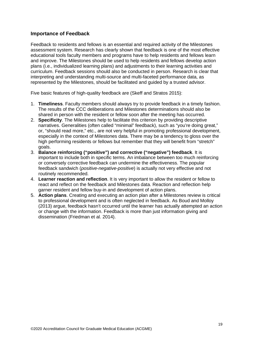## **Importance of Feedback**

Feedback to residents and fellows is an essential and required activity of the Milestones assessment system. Research has clearly shown that feedback is one of the most effective educational tools faculty members and programs have to help residents and fellows learn and improve. The Milestones should be used to help residents and fellows develop action plans (i.e., individualized learning plans) and adjustments to their learning activities and curriculum. Feedback sessions should also be conducted in person. Research is clear that interpreting and understanding multi-source and multi-faceted performance data, as represented by the Milestones, should be facilitated and guided by a trusted advisor.

Five basic features of high-quality feedback are (Skeff and Stratos 2015):

- 1. **Timeliness**. Faculty members should always try to provide feedback in a timely fashion. The results of the CCC deliberations and Milestones determinations should also be shared in person with the resident or fellow soon after the meeting has occurred.
- 2. **Specificity**. The Milestones help to facilitate this criterion by providing descriptive narratives. Generalities (often called "minimal" feedback), such as "you're doing great," or, "should read more," etc., are not very helpful in promoting professional development, especially in the context of Milestones data. There may be a tendency to gloss over the high performing residents or fellows but remember that they will benefit from "stretch" goals.
- 3. **Balance reinforcing ("positive") and corrective ("negative") feedback**. It is important to include both in specific terms. An imbalance between too much reinforcing or conversely corrective feedback can undermine the effectiveness. The popular feedback sandwich (*positive-negative-positive*) is actually not very effective and not routinely recommended.
- 4. **Learner reaction and reflection**. It is very important to allow the resident or fellow to react and reflect on the feedback and Milestones data. Reaction and reflection help garner resident and fellow buy-in and development of action plans.
- 5. **Action plans**. Creating and executing an action plan after a Milestones review is critical to professional development and is often neglected in feedback. As Boud and Molloy (2013) argue, feedback hasn't occurred until the learner has actually attempted an action or change with the information. Feedback is more than just information giving and dissemination (Friedman et al. 2014).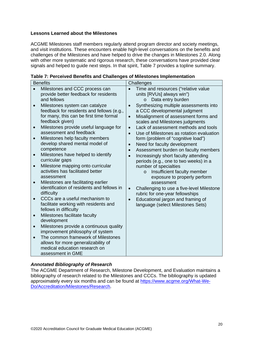## **Lessons Learned about the Milestones**

ACGME Milestones staff members regularly attend program director and society meetings, and visit institutions. These encounters enable high-level conversations on the benefits and challenges of the Milestones and have helped to drive the changes in Milestones 2.0. Along with other more systematic and rigorous research, these conversations have provided clear signals and helped to guide next steps. In that spirit, Table 7 provides a topline summary.

| <b>Benefits</b> |                                                           | Challenges |                                                                         |  |  |
|-----------------|-----------------------------------------------------------|------------|-------------------------------------------------------------------------|--|--|
| $\bullet$       | Milestones and CCC process can                            | $\bullet$  | Time and resources ("relative value                                     |  |  |
|                 | provide better feedback for residents                     |            | units [RVUs] always win")                                               |  |  |
|                 | and fellows                                               |            | Data entry burden<br>$\circ$                                            |  |  |
| $\bullet$       | Milestones system can catalyze                            | $\bullet$  | Synthesizing multiple assessments into                                  |  |  |
|                 | feedback for residents and fellows (e.g.,                 |            | a CCC developmental judgment                                            |  |  |
|                 | for many, this can be first time formal                   | $\bullet$  | Misalignment of assessment forms and                                    |  |  |
|                 | feedback given)<br>Milestones provide useful language for |            | scales and Milestones judgments<br>Lack of assessment methods and tools |  |  |
| $\bullet$       | assessment and feedback                                   | $\bullet$  | Use of Milestones as rotation evaluation                                |  |  |
| $\bullet$       | Milestones help faculty members                           | $\bullet$  | form (problem of "cognitive load")                                      |  |  |
|                 | develop shared mental model of                            | $\bullet$  | Need for faculty development                                            |  |  |
|                 | competence                                                | $\bullet$  | Assessment burden on faculty members                                    |  |  |
| $\bullet$       | Milestones have helped to identify                        | $\bullet$  | Increasingly short faculty attending                                    |  |  |
|                 | curricular gaps                                           |            | periods (e.g., one to two weeks) in a                                   |  |  |
| $\bullet$       | Milestone mapping onto curricular                         |            | number of specialties                                                   |  |  |
|                 | activities has facilitated better                         |            | Insufficient faculty member<br>$\circ$                                  |  |  |
|                 | assessment                                                |            | exposure to properly perform                                            |  |  |
| $\bullet$       | Milestones are facilitating earlier                       |            | assessment                                                              |  |  |
|                 | identification of residents and fellows in                | $\bullet$  | Challenging to use a five-level Milestone                               |  |  |
|                 | difficulty                                                |            | rubric for one-year fellowships                                         |  |  |
| $\bullet$       | CCCs are a useful mechanism to                            | $\bullet$  | Educational jargon and framing of                                       |  |  |
|                 | facilitate working with residents and                     |            | language (select Milestones Sets)                                       |  |  |
|                 | fellows in difficulty                                     |            |                                                                         |  |  |
| $\bullet$       | Milestones facilitate faculty<br>development              |            |                                                                         |  |  |
| $\bullet$       | Milestones provide a continuous quality                   |            |                                                                         |  |  |
|                 | improvement philosophy of system                          |            |                                                                         |  |  |
| $\bullet$       | The common framework of Milestones                        |            |                                                                         |  |  |
|                 | allows for more generalizability of                       |            |                                                                         |  |  |
|                 | medical education research on                             |            |                                                                         |  |  |
|                 | assessment in GME                                         |            |                                                                         |  |  |

| Table 7: Perceived Benefits and Challenges of Milestones Implementation |  |  |  |  |
|-------------------------------------------------------------------------|--|--|--|--|
|-------------------------------------------------------------------------|--|--|--|--|

## *Annotated Bibliography of Research*

The ACGME Department of Research, Milestone Development, and Evaluation maintains a bibliography of research related to the Milestones and CCCs. The bibliography is updated approximately every six months and can be found at [https://www.acgme.org/What-We-](https://www.acgme.org/What-We-Do/Accreditation/Milestones/Research)[Do/Accreditation/Milestones/Research.](https://www.acgme.org/What-We-Do/Accreditation/Milestones/Research)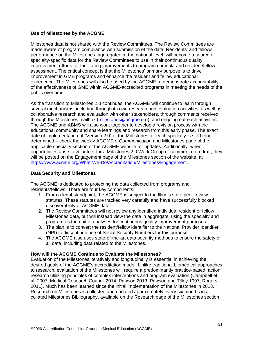## **Use of Milestones by the ACGME**

Milestones data is not shared with the Review Committees. The Review Committees are made aware of program compliance with submission of the data. Residents' and fellows' performance on the Milestones, aggregated at the national level, will become a source of specialty-specific data for the Review Committees to use in their continuous quality improvement efforts for facilitating improvements to program curricula and resident/fellow assessment. The critical concept is that the Milestones' primary purpose is to drive improvement in GME programs and enhance the resident and fellow educational experience. The Milestones will also be used by the ACGME to demonstrate accountability of the effectiveness of GME within ACGME-accredited programs in meeting the needs of the public over time.

As the transition to Milestones 2.0 continues, the ACGME will continue to learn through several mechanisms, including through its own research and evaluation activities, as well as collaborative research and evaluation with other stakeholders, through comments received through the Milestones mailbox [\(milestones@acgme.org\)](mailto:milestones@acgme.org), and ongoing outreach activities. The ACGME and ABMS will also work together to develop a revision process with the educational community and share learnings and research from this early phase. The exact date of implementation of "Version 2.0" of the Milestones for each specialty is still being determined – check the weekly ACGME *e-Communication* and Milestones page of the applicable specialty section of the ACGME website for updates. Additionally, when opportunities arise to volunteer for a Milestones 2.0 Work Group or comment on a draft, they will be posted on the Engagement page of the Milestones section of the website, at [https://www.acgme.org/What-We-Do/Accreditation/Milestones/Engagement.](https://www.acgme.org/What-We-Do/Accreditation/Milestones/Engagement)

## **Data Security and Milestones**

The ACGME is dedicated to protecting the data collected from programs and residents/fellows. There are four key components:

- 1. From a legal standpoint, the ACGME is subject to the Illinois state peer review statutes. These statutes are tracked very carefully and have successfully blocked discoverability of ACGME data.
- 2. The Review Committees will not review any identified individual resident or fellow Milestones data, but will instead view the data in aggregate, using the specialty and program as the unit of analyses for continuous quality improvement purposes.
- 3. The plan is to convert the resident/fellow identifier to the National Provider Identifier (NPI) to discontinue use of Social Security Numbers for this purpose.
- 4. The ACGME also uses state-of-the-art data security methods to ensure the safety of all data, including data related to the Milestones.

## **How will the ACGME Continue to Evaluate the Milestones?**

Evaluation of the Milestones iteratively and longitudinally is essential in achieving the desired goals of the ACGME's accreditation model. Unlike traditional biomedical approaches to research, evaluation of the Milestones will require a predominantly practice-based, action research utilizing principles of complex interventions and program evaluation (Campbell et al. 2007; Medical Research Council 2014; Pawson 2013; Pawson and Tilley 1997; Rogers, 2011). Much has been learned since the initial implementation of the Milestones in 2013. Research on Milestones is collected and updated approximately every six months in a collated Milestones Bibliography, available on the Research page of the Milestones section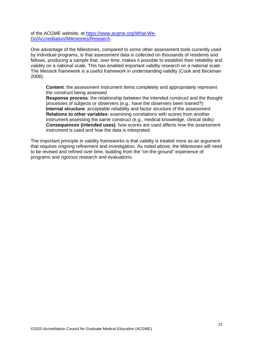of the ACGME website, at [https://www.acgme.org/What-We-](https://www.acgme.org/What-We-Do/Accreditation/Milestones/Research)[Do/Accreditation/Milestones/Research.](https://www.acgme.org/What-We-Do/Accreditation/Milestones/Research)

One advantage of the Milestones, compared to some other assessment tools currently used by individual programs, is that assessment data is collected on thousands of residents and fellows, producing a sample that, over time, makes it possible to establish their reliability and validity on a national scale. This has enabled important validity research on a national scale. The Messick framework is a useful framework in understanding validity (Cook and Beckman 2006):

**Content**: the assessment instrument items completely and appropriately represent the construct being assessed

**Response process**: the relationship between the intended construct and the thought processes of subjects or observers (e.g., have the observers been trained?) **Internal structure**: acceptable reliability and factor structure of the assessment **Relations to other variables**: examining correlations with scores from another instrument assessing the same construct (e.g., medical knowledge, clinical skills) **Consequences (intended uses)**: how scores are used affects how the assessment instrument is used and how the data is interpreted

The important principle in validity frameworks is that validity is treated more as an argument that requires ongoing refinement and investigation. As noted above, the Milestones will need to be revised and refined over time, building from the "on-the-ground" experience of programs and rigorous research and evaluations.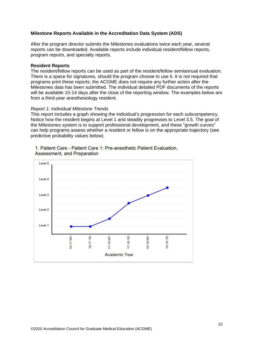### **Milestone Reports Available in the Accreditation Data System (ADS)**

After the program director submits the Milestones evaluations twice each year, several reports can be downloaded. Available reports include individual resident/fellow reports, program reports, and specialty reports.

#### **Resident Reports**

The resident/fellow reports can be used as part of the resident/fellow semiannual evaluation. There is a space for signatures, should the program choose to use it. It is not required that programs print these reports; the ACGME does not require any further action after the Milestones data has been submitted. The individual detailed PDF documents of the reports will be available 10-14 days after the close of the reporting window. The examples below are from a third-year anesthesiology resident.

#### *Report 1: Individual Milestone Trends*

This report includes a graph showing the individual's progression for each subcompetency. Notice how the resident begins at Level 1 and steadily progresses to Level 3.5. The goal of the Milestones system is to support professional development, and these "growth curves" can help programs assess whether a resident or fellow is on the appropriate trajectory (see predictive probability values below).



#### 1. Patient Care - Patient Care 1: Pre-anesthetic Patient Evaluation. Assessment, and Preparation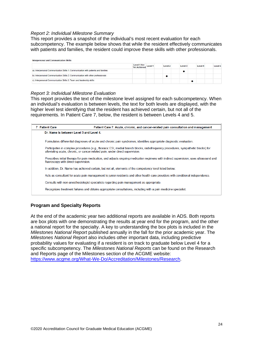#### *Report 2: Individual Milestone Summary*

This report provides a snapshot of the individual's most recent evaluation for each subcompetency. The example below shows that while the resident effectively communicates with patients and families, the resident could improve these skills with other professionals.

|                                                                                    | Level 1 Not<br>Yet Achieved Level 1 | Level <sub>2</sub> | Level 3 | Level 4 | Level 5 |
|------------------------------------------------------------------------------------|-------------------------------------|--------------------|---------|---------|---------|
| a), Interpersonal Communication Skills 1: Communication with patients and families |                                     |                    |         |         |         |
| b). Interpersonal Communication Skills 2: Communication with other professionals   |                                     |                    |         |         |         |
| c). Interpersonal Communication Skills 3: Team and leadership skills               |                                     |                    |         |         |         |

#### *Report 3: Individual Milestone Evaluation*

This report provides the text of the milestone level assigned for each subcompetency. When an individual's evaluation is between levels, the text for both levels are displayed, with the higher level test identifying that the resident has achieved certain, but not all of the requirements. In Patient Care 7, below, the resident is between Levels 4 and 5.

| <b>7</b> Patient Care                    | Patient Care 7: Acute, chronic, and cancer-related pain consultation and management                                                                                                                               |
|------------------------------------------|-------------------------------------------------------------------------------------------------------------------------------------------------------------------------------------------------------------------|
| Dr. Name is between Level 3 and Level 4. |                                                                                                                                                                                                                   |
|                                          | Formulates differential diagnoses of acute and chronic pain syndromes; identifies appropriate diagnostic evaluation.                                                                                              |
|                                          | Participates in complex procedures (e.g., thoracic ESI, medial branch blocks, radiofrequency procedures, sympathetic blocks) for<br>alleviating acute, chronic, or cancer-related pain, under direct supervision. |
| fluoroscopy with direct supervision.     | Prescribes initial therapy for pain medication, and adjusts ongoing medication regimens with indirect supervision; uses ultrasound and                                                                            |
|                                          | In addition, Dr. Name has achieved certain, but not all, elements of the competency level listed below:                                                                                                           |
|                                          | Acts as consultant for acute pain management to junior residents and other health care providers with conditional independence.                                                                                   |
|                                          | Consults with non-anesthesiologist specialists regarding pain management as appropriate.                                                                                                                          |
|                                          | Recognizes treatment failures and obtains appropriate consultations, including with a pain medicine specialist.                                                                                                   |
|                                          |                                                                                                                                                                                                                   |

#### **Program and Specialty Reports**

At the end of the academic year two additional reports are available in ADS. Both reports are box plots with one demonstrating the results at year end for the program, and the other a national report for the specialty. A key to understanding the box plots is included in the *Milestones National Report* published annually in the fall for the prior academic year. The *Milestones National Report* also includes other important data, including predictive probability values for evaluating if a resident is on track to graduate below Level 4 for a specific subcompetency. The *Milestones National Reports* can be found on the Research and Reports page of the Milestones section of the ACGME website: [https://www.acgme.org/What-We-Do/Accreditation/Milestones/Research.](https://www.acgme.org/What-We-Do/Accreditation/Milestones/Research)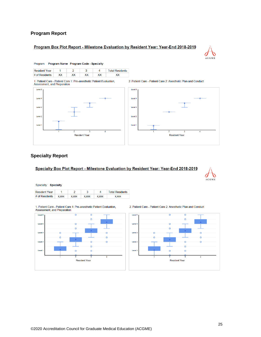### **Program Report**

## Program Box Plot Report - Milestone Evaluation by Resident Year: Year-End 2018-2019



Program: Program Name Program Code - Specialty

| <b>Resident Year</b> |    |  | <b>Total Residents</b> |
|----------------------|----|--|------------------------|
| # of Residents       | XX |  |                        |

1. Patient Care - Patient Care 1: Pre-anesthetic Patient Evaluation,<br>Assessment, and Preparation





## **Specialty Report**

#### Specialty Box Plot Report - Milestone Evaluation by Resident Year: Year-End 2018-2019



Specialty: Specialty

| <b>Resident Year</b> |              |              |              |              | <b>Total Residents</b> |
|----------------------|--------------|--------------|--------------|--------------|------------------------|
| # of Residents       | <b>X.XXX</b> | <b>X.XXX</b> | <b>X.XXX</b> | <b>X.XXX</b> | <b>X.XXX</b>           |

1. Patient Care - Patient Care 1: Pre-anesthetic Patient Evaluation, Assessment, and Preparation



2. Patient Care - Patient Care 2: Anesthetic Plan and Conduct

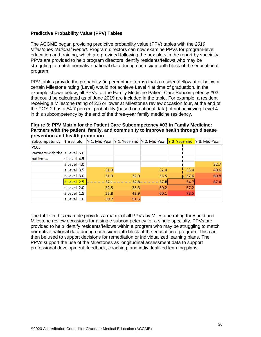## **Predictive Probability Value (PPV) Tables**

The ACGME began providing predictive probability value (PPV) tables with the *2019 Milestones National Report*. Program directors can now examine PPVs for program-level education and training, which are provided following the box plots in the report by specialty. PPVs are provided to help program directors identify residents/fellows who may be struggling to match normative national data during each six-month block of the educational program.

PPV tables provide the probability (in percentage terms) that a resident/fellow at or below a certain Milestone rating (Level) would not achieve Level 4 at time of graduation. In the example shown below, all PPVs for the Family Medicine Patient Care Subcompetency #03 that could be calculated as of June 2019 are included in the table. For example, a resident receiving a Milestone rating of 2.5 or lower at Milestones review occasion four, at the end of the PGY-2 has a 54.7 percent probability (based on national data) of not achieving Level 4 in this subcompetency by the end of the three-year family medicine residency.

**Figure 3: PPV Matrix for the Patient Care Subcompetency #03 in Family Medicine: Partners with the patient, family, and community to improve health through disease prevention and health promotion**

| Subcompetency                      | Threshold        |            |          | Yr1, Mid-Year Yr1, Year-End Yr2, Mid-Year Yr2, Year-End Yr3, Mid-Year |      |      |
|------------------------------------|------------------|------------|----------|-----------------------------------------------------------------------|------|------|
| <b>PC03</b>                        |                  |            |          |                                                                       |      |      |
| Partners with the $\leq$ Level 5.0 |                  |            |          |                                                                       |      |      |
| patient                            | $\le$ Level 4.5  |            |          |                                                                       |      |      |
|                                    | $\le$ Level 4.0  |            |          |                                                                       |      | 32.7 |
|                                    | $\leq$ Level 3.5 | 31.9       |          | 32.4                                                                  | 33.4 | 40.6 |
|                                    | $\leq$ Level 3.0 | 31.9       | 32.0     | 33.5                                                                  | 37.6 | 60.8 |
|                                    | $\leq$ Level 2.5 | $32 - 1 -$ | $-32.8-$ | $37 - 7$                                                              | 54.7 | 67.4 |
|                                    | $\le$ Level 2.0  | 32.5       | 35.3     | 50.2                                                                  | 57.2 |      |
|                                    | $\le$ Level 1.5  | 33.8       | 42.9     | 60.1                                                                  | 78.5 |      |
|                                    | $\le$ Level 1.0  | 39.7       | 51.6     |                                                                       |      |      |

The table in this example provides a matrix of all PPVs by Milestone rating threshold and Milestone review occasions for a single subcompetency for a single specialty. PPVs are provided to help identify residents/fellows within a program who may be struggling to match normative national data during each six-month block of the educational program. This can then be used to support decisions for remediation or individualized learning plans. The PPVs support the use of the Milestones as longitudinal assessment data to support professional development, feedback, coaching, and individualized learning plans.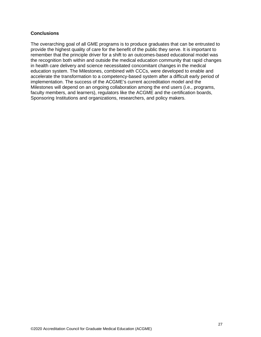### **Conclusions**

The overarching goal of all GME programs is to produce graduates that can be entrusted to provide the highest quality of care for the benefit of the public they serve. It is important to remember that the principle driver for a shift to an outcomes-based educational model was the recognition both within and outside the medical education community that rapid changes in health care delivery and science necessitated concomitant changes in the medical education system. The Milestones, combined with CCCs, were developed to enable and accelerate the transformation to a competency-based system after a difficult early period of implementation. The success of the ACGME's current accreditation model and the Milestones will depend on an ongoing collaboration among the end users (i.e., programs, faculty members, and learners), regulators like the ACGME and the certification boards, Sponsoring Institutions and organizations, researchers, and policy makers.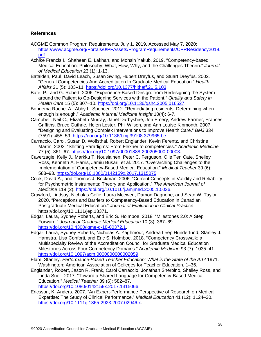## **References**

- ACGME Common Program Requirements. July 1, 2019. Accessed May 7, 2020: [https://www.acgme.org/Portals/0/PFAssets/ProgramRequirements/CPRResidency2019.](https://www.acgme.org/Portals/0/PFAssets/ProgramRequirements/CPRResidency2019.pdf) [pdf](https://www.acgme.org/Portals/0/PFAssets/ProgramRequirements/CPRResidency2019.pdf)
- Achike Francis I., Shaheen E. Lakhan, and Mohsin Yakub. 2019. "Competency-based Medical Education: Philosophy, What, How, Why, and the Challenges Therein." *Journal of Medical Education* 23 (1): 1-13.
- Batalden, Paul, David Leach, Susan Swing, Hubert Dreyfus, and Stuart Dreyfus. 2002. "General Competencies And Accreditation In Graduate Medical Education." *Health Affairs* 21 (5): 103–11. [https://doi.org/10.1377/hlthaff.21.5.103.](https://doi.org/10.1377/hlthaff.21.5.103)
- Bate, P., and G. Robert. 2006. "Experience-Based Design: from Redesigning the System around the Patient to Co-Designing Services with the Patient." *Quality and Safety in Health Care* 15 (5): 307–10. [https://doi.org/10.1136/qshc.2005.016527.](https://doi.org/10.1136/qshc.2005.016527)
- Bonnema Rachel A., Abby L. Spencer. 2012. "Remediating residents: Determining when enough is enough." *Academic Internal Medicine Insight* 10(4): 6-7.
- Campbell, Neil C., Elizabeth Murray, Janet Darbyshire, Jon Emery, Andrew Farmer, Frances Griffiths, Bruce Guthrie, Helen Lester, Phil Wilson, and Ann Louise Kinmonth. 2007. "Designing and Evaluating Complex Interventions to Improve Health Care." *BMJ* 334 (7591): 455–59. [https://doi.org/10.1136/bmj.39108.379965.be.](https://doi.org/10.1136/bmj.39108.379965.be)
- Carraccio, Carol, Susan D. Wolfsthal, Robert Englander, Kevin Ferentz, and Christine Martin. 2002. "Shifting Paradigms: From Flexner to competencies." *Academic Medicine* 77 (5): 361–67. [https://doi.org/10.1097/00001888-200205000-00003.](https://doi.org/10.1097/00001888-200205000-00003)
- Caverzagie, Kelly J., Markku T. Nousiainen, Peter C. Ferguson, Olle Ten Cate, Shelley Ross, Kenneth A. Harris, Jamiu Busari, et al. 2017. "Overarching Challenges to the Implementation of Competency-Based Medical Education." *Medical Teacher* 39 (6): 588–93. [https://doi.org/10.1080/0142159x.2017.1315075.](https://doi.org/10.1080/0142159x.2017.1315075)
- Cook, David A., and Thomas J. Beckman. 2006. "Current Concepts in Validity and Reliability for Psychometric Instruments: Theory and Application." *The American Journal of Medicine* 119 (2). [https://doi.org/10.1016/j.amjmed.2005.10.036.](https://doi.org/10.1016/j.amjmed.2005.10.036)
- Crawford, Lindsay, Nicholas Cofie, Laura Mcewen, Damon Dagnone, and Sean W. Taylor. 2020. "Perceptions and Barriers to Competency‐Based Education in Canadian Postgraduate Medical Education." *Journal of Evaluation in Clinical Practice*. https://doi.org/10.1111/jep.13371.
- Edgar, Laura, Sydney Roberts, and Eric S. Holmboe. 2018. "Milestones 2.0: A Step Forward." *Journal of Graduate Medical Education* 10 (3): 367–69. [https://doi.org/10.4300/jgme-d-18-00372.1.](https://doi.org/10.4300/jgme-d-18-00372.1)
- Edgar, Laura, Sydney Roberts, Nicholas A. Yaghmour, Andrea Leep Hunderfund, Stanley J. Hamstra, Lisa Conforti, and Eric S. Holmboe. 2018. "Competency Crosswalk: a Multispecialty Review of the Accreditation Council for Graduate Medical Education Milestones Across Four Competency Domains." *Academic Medicine* 93 (7): 1035–41. [https://doi.org/10.1097/acm.0000000000002059.](https://doi.org/10.1097/acm.0000000000002059)
- Elam, Stanley. *Performance-Based Teacher Education: What is the State of the Art?* 1971. Washington: American Association of Colleges for Teacher Education. 1–36.
- Englander, Robert, Jason R. Frank, Carol Carraccio, Jonathan Sherbino, Shelley Ross, and Linda Snell. 2017. "Toward a Shared Language for Competency-Based Medical Education." *Medical Teacher* 39 (6): 582–87. [https://doi.org/10.1080/0142159x.2017.1315066.](https://doi.org/10.1080/0142159x.2017.1315066)
- Ericsson, K. Anders. 2007. "An Expert-Performance Perspective of Research on Medical Expertise: The Study of Clinical Performance." *Medical Education* 41 (12): 1124–30. [https://doi.org/10.1111/j.1365-2923.2007.02946.x.](https://doi.org/10.1111/j.1365-2923.2007.02946.x)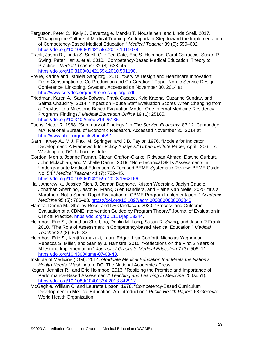- Ferguson, Peter C., Kelly J. Caverzagie, Markku T. Nousiainen, and Linda Snell. 2017. "Changing the Culture of Medical Training: An Important Step toward the Implementation of Competency-Based Medical Education." *Medical Teacher* 39 (6): 599–602. [https://doi.org/10.1080/0142159x.2017.1315079.](https://doi.org/10.1080/0142159x.2017.1315079)
- Frank, Jason R., Linda S. Snell, Olle Ten Cate, Eric S. Holmboe, Carol Carraccio, Susan R. Swing, Peter Harris, et al. 2010. "Competency-Based Medical Education: Theory to Practice." *Medical Teacher* 32 (8): 638–45. [https://doi.org/10.3109/0142159x.2010.501190.](https://doi.org/10.3109/0142159x.2010.501190)
- Freire, Karine and Daniela Sangiorgi. 2010. "Service Design and Healthcare Innovation: From Consumption to Co-Production and Co-Creation." Paper Nordic Service Design Conference, Linkoping, Sweden. Accessed on November 30, 2014 at [http://www.servdes.org/pdf/freire-sangiorgi.pdf.](http://www.servdes.org/pdf/freire-sangiorgi.pdf)
- Friedman, Karen A., Sandy Balwan, Frank Cacace, Kyle Katona, Suzanne Sunday, and Saima Chaudhry. 2014. "Impact on House Staff Evaluation Scores When Changing from a Dreyfus- to a Milestone-Based Evaluation Model: One Internal Medicine Residency Programs Findings." *Medical Education Online* 19 (1): 25185. [https://doi.org/10.3402/meo.v19.25185.](https://doi.org/10.3402/meo.v19.25185)
- Fuchs, Victor R. 1968. "Summary of Findings." In *The Service Economy*, 87:12. Cambridge, MA: National Bureau of Economic Research. Accessed November 30, 2014 at <http://www.nber.org/books/fuch68-1>
- Garn Harvey A., M.J. Flax, M. Springer, and J.B. Taylor. 1976. "Models for Indicator Development: A Framework for Policy Analysis." *Urban Institute Paper,* April:1206–17. Washington, DC: Urban Institute.
- Gordon, Morris, Jeanne Farnan, Ciaran Grafton-Clarke, Ridwaan Ahmed, Dawne Gurbutt, John Mclachlan, and Michelle Daniel. 2019. "Non-Technical Skills Assessments in Undergraduate Medical Education: A Focused BEME Systematic Review: BEME Guide No. 54." *Medical Teacher* 41 (7): 732–45. [https://doi.org/10.1080/0142159x.2018.1562166.](https://doi.org/10.1080/0142159x.2018.1562166)
- Hall, Andrew K., Jessica Rich, J. Damon Dagnone, Kristen Weersink, Jaelyn Caudle, Jonathan Sherbino, Jason R. Frank, Glen Bandiera, and Elaine Van Melle. 2020. "It's a Marathon, Not a Sprint: Rapid Evaluation of CBME Program Implementation.." *Academic Medicine* 95 (5): 786–93. [https://doi.org/10.1097/acm.0000000000003040.](https://doi.org/10.1097/acm.0000000000003040)
- Hamza, Deena M., Shelley Ross, and Ivy Oandasan. 2020. "Process and Outcome Evaluation of a CBME Intervention Guided by Program Theory." Journal of Evaluation in Clinical Practice. [https://doi.org/10.1111/jep.13344.](https://doi.org/10.1111/jep.13344)
- Holmboe, Eric S., Jonathan Sherbino, Donlin M. Long, Susan R. Swing, and Jason R Frank. 2010. "The Role of Assessment in Competency-based Medical Education." *Medical Teacher* 32 (8): 676–82.
- Holmboe, Eric S., Kenji Yamazaki, Laura Edgar, Lisa Conforti, Nicholas Yaghmour, Rebecca S. Miller, and Stanley J. Hamstra. 2015. "Reflections on the First 2 Years of Milestone Implementation." *Journal of Graduate Medical Education* 7 (3): 506–11. [https://doi.org/10.4300/jgme-07-03-43.](https://doi.org/10.4300/jgme-07-03-43)
- Institute of Medicine (IOM). 2014. *Graduate Medical Education that Meets the Nation's Health Needs.* Washington, DC: The National Academies Press.
- Kogan, Jennifer R., and Eric Holmboe. 2013. "Realizing the Promise and Importance of Performance-Based Assessment." *Teaching and Learning in Medicine* 25 (sup1). [https://doi.org/10.1080/10401334.2013.842912.](https://doi.org/10.1080/10401334.2013.842912)
- McGaghie, William C. and Laurette Lipson. 1978. "Competency-Based Curriculum Development in Medical Education: An Introduction." *Public Health Papers* 68 Geneva: World Health Organization.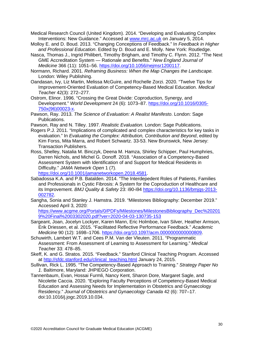Medical Research Council (United Kingdom). 2014. "Developing and Evaluating Complex Interventions: New Guidance." Accessed at [www.mrc.ac.uk](http://www.mrc.ac.uk/) on January 5, 2014.

Molloy E. and D. Boud. 2013. "Changing Conceptions of Feedback." In *Feedback in Higher and Professional Education*. Edited by D. Boud and E. Molly. New York: Routledge.

Nasca, Thomas J., Ingrid Philibert, Timothy Brigham, and Timothy C. Flynn. 2012. "The Next GME Accreditation System — Rationale and Benefits." *New England Journal of Medicine* 366 (11): 1051–56. [https://doi.org/10.1056/nejmsr1200117.](https://doi.org/10.1056/nejmsr1200117)

- Normann, Richard. 2001. *Reframing Business: When the Map Changes the Landscape.* London: Wiley Publishing.
- Oandasan, Ivy, Liz Martin, Melissa McGuire, and Rochelle Zorzi. 2020. "Twelve Tips for Improvement-Oriented Evaluation of Competency-Based Medical Education. *Medical Teacher* 42(3): 272–277.
- Ostrom, Elinor. 1996. "Crossing the Great Divide: Coproduction, Synergy, and Development." *World Development* 24 (6): 1073–87. [https://doi.org/10.1016/0305-](https://doi.org/10.1016/0305-750x(96)00023-x) [750x\(96\)00023-x.](https://doi.org/10.1016/0305-750x(96)00023-x)
- Pawson, Ray. 2013. *The Science of Evaluation: A Realist Manifesto*. London: Sage Publications.
- Pawson, Ray and N. Tilley. 1997. *Realistic Evaluation.* London: Sage Publications.
- Rogers P.J. 2011. "Implications of complicated and complex characteristics for key tasks in evaluation." In *Evaluating the Complex: Attribution, Contribution and Beyond*, edited by Kim Forss, Mita Marra, and Robert Schwartz. 33-53. New Brunswick, New Jersey: Transaction Publishers.
- Ross, Shelley, Natalia M. Binczyk, Deena M. Hamza, Shirley Schipper, Paul Humphries, Darren Nichols, and Michel G. Donoff. 2018. "Association of a Competency-Based Assessment System with Identification of and Support for Medical Residents in Difficulty." *JAMA Network Open* 1 (7).

[https://doi.org/10.1001/jamanetworkopen.2018.4581.](https://doi.org/10.1001/jamanetworkopen.2018.4581)

- Sabadossa K.A. and P.B. Batalden. 2014. "The Interdepedent Roles of Patients, Families and Professionals in Cystic Fibrosis: A System for the Coproduction of Healthcare and its Improvement. *BMJ Quality & Safety* 23: i90-i94 [https://doi.org/10.1136/bmjqs-2013-](https://doi.org/10.1136/bmjqs-2013-002782) [002782.](https://doi.org/10.1136/bmjqs-2013-002782)
- Sangha, Sonia and Stanley J. Hamstra. 2019. "Milestones Bibliography: December 2019." Accessed April 3, 2020:

[https://www.acgme.org/Portals/0/PDFs/Milestones/MilestonesBibliography\\_Dec%20201](https://www.acgme.org/Portals/0/PDFs/Milestones/MilestonesBibliography_Dec%202019%20Final%2003302020.pdf?ver=2020-04-03-130735-153) [9%20Final%2003302020.pdf?ver=2020-04-03-130735-153](https://www.acgme.org/Portals/0/PDFs/Milestones/MilestonesBibliography_Dec%202019%20Final%2003302020.pdf?ver=2020-04-03-130735-153)

- Sargeant, Joan, Jocelyn Lockyer, Karen Mann, Eric Holmboe, Ivan Silver, Heather Armson, Erik Driessen, et al. 2015. "Facilitated Reflective Performance Feedback." *Academic Medicine* 90 (12): 1698–1706. [https://doi.org/10.1097/acm.0000000000000809.](https://doi.org/10.1097/acm.0000000000000809)
- Schuwirth, Lambert W.T. and Cees P.M. Van der Vleuten. 2011. "Programmatic Assessment: From Assessment of Learning to Assessment for Learning." *Medical Teach*er 33: 478–85.
- Skeff, K. and G. Stratos. 2015. "Feedback." Stanford Clinical Teaching Program. Accessed at http://sfdc.stanford.edu/clinical teaching.html January 24, 2015.
- Sullivan, Rick L. 1995. "The Competency-Based Approach to Training." *Strategy Paper No 1*. Baltimore, Maryland: JHPIEGO Corporation.
- Tannenbaum, Evan, Hossai Furmli, Nancy Kent, Sharon Dore, Margaret Sagle, and Nicolette Caccia. 2020. "Exploring Faculty Perceptions of Competency-Based Medical Education and Assessing Needs for Implementation in Obstetrics and Gynaecology Residency." *Journal of Obstetrics and Gynaecology Canada* 42 (6): 707–17. doi:10.1016/j.jogc.2019.10.034.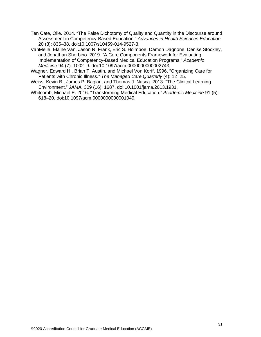Ten Cate, Olle. 2014. "The False Dichotomy of Quality and Quantity in the Discourse around Assessment in Competency-Based Education." *Advances in Health Sciences Education* 20 (3): 835–38. doi:10.1007/s10459-014-9527-3.

VanMelle, Elaine Van, Jason R. Frank, Eric S. Holmboe, Damon Dagnone, Denise Stockley, and Jonathan Sherbino. 2019. "A Core Components Framework for Evaluating Implementation of Competency-Based Medical Education Programs." *Academic Medicine* 94 (7): 1002–9. doi:10.1097/acm.0000000000002743.

- Wagner, Edward H., Brian T. Austin, and Michael Von Korff. 1996. "Organizing Care for Patients with Chronic Illness." *The Managed Care Quarterly* (4): 12–25.
- Weiss, Kevin B., James P. Bagian, and Thomas J. Nasca. 2013. "The Clinical Learning Environment." *JAMA.* 309 (16): 1687. doi:10.1001/jama.2013.1931.
- Whitcomb, Michael E. 2016. "Transforming Medical Education." *Academic Medicine* 91 (5): 618–20. doi:10.1097/acm.0000000000001049.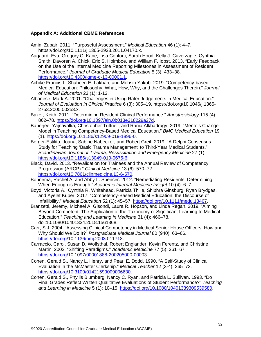## **Appendix A: Additional CBME References**

- Amin, Zubair. 2011. "Purposeful Assessment." *Medical Education* 46 (1): 4–7. https://doi.org/10.1111/j.1365-2923.2011.04170.x.
- Aagaard, Eva, Gregory C. Kane, Lisa Conforti, Sarah Hood, Kelly J. Caverzagie, Cynthia Smith, Davoren A. Chick, Eric S. Holmboe, and William F. Iobst. 2013. "Early Feedback on the Use of the Internal Medicine Reporting Milestones in Assessment of Resident Performance." *Journal of Graduate Medical Education* 5 (3): 433–38. [https://doi.org/10.4300/jgme-d-13-00001.1.](https://doi.org/10.4300/jgme-d-13-00001.1)
- Achike Francis I., Shaheen E. Lakhan, and Mohsin Yakub. 2019. "Competency-based Medical Education: Philosophy, What, How, Why, and the Challenges Therein." *Journal of Medical Education* 23 (1): 1-13.
- Albanese, Mark A. 2001. "Challenges in Using Rater Judgements in Medical Education." *Journal of Evaluation in Clinical Practice* 6 (3): 305–19. https://doi.org/10.1046/j.1365- 2753.2000.00253.x.
- Baker, Keith. 2011. "Determining Resident Clinical Performance." *Anesthesiology* 115 (4): 862–78. [https://doi.org/10.1097/aln.0b013e318229a27d.](https://doi.org/10.1097/aln.0b013e318229a27d)
- Banerjee, Yajnavalka, Christopher Tuffnell, and Rania Alkhadragy. 2019. "Mento's Change Model in Teaching Competency-Based Medical Education." *BMC Medical Education* 19 (1). [https://doi.org/10.1186/s12909-019-1896-0.](https://doi.org/10.1186/s12909-019-1896-0)
- Berger-Estilita, Joana, Sabine Nabecker, and Robert Greif. 2019. "A Delphi Consensus Study for Teaching 'Basic Trauma Management' to Third-Year Medical Students." *Scandinavian Journal of Trauma, Resuscitation and Emergency Medicine* 27 (1). [https://doi.org/10.1186/s13049-019-0675-6.](https://doi.org/10.1186/s13049-019-0675-6)
- Black, David. 2013. "Revalidation for Trainees and the Annual Review of Competency Progression (ARCP)." *Clinical Medicine* 13 (6): 570–72. [https://doi.org/10.7861/clinmedicine.13-6-570.](https://doi.org/10.7861/clinmedicine.13-6-570)
- Bonnema, Rachel A. and Abby L. Spencer. 2012. "Remediating Residents: Determining When Enough is Enough." *Academic Internal Medicine Insight* 10 (4): 6–7.
- Boyd, Victoria A., Cynthia R. Whitehead, Patricia Thille, Shiphra Ginsburg, Ryan Brydges, and Ayelet Kuper. 2017. "Competency-Based Medical Education: the Discourse of Infallibility." *Medical Education* 52 (1): 45–57. [https://doi.org/10.1111/medu.13467.](https://doi.org/10.1111/medu.13467)
- Branzetti, Jeremy, Michael A. Gisondi, Laura R. Hopson, and Linda Regan. 2019. "Aiming Beyond Competent: The Application of the Taxonomy of Significant Learning to Medical Education." *Teaching and Learning in Medicine* 31 (4): 466–78. doi:10.1080/10401334.2018.1561368.
- Carr, S.J. 2004. "Assessing Clinical Competency in Medical Senior House Officers: How and Why Should We Do It?" *Postgraduate Medical Journal* 80 (940): 63–66. [https://doi.org/10.1136/pmj.2003.011718.](https://doi.org/10.1136/pmj.2003.011718)
- Carraccio, Carol, Susan D. Wolfsthal, Robert Englander, Kevin Ferentz, and Christine Martin. 2002. "Shifting Paradigms." *Academic Medicine* 77 (5): 361–67. [https://doi.org/10.1097/00001888-200205000-00003.](https://doi.org/10.1097/00001888-200205000-00003)
- Cohen, Gerald S., Nancy L. Henry, and Pearl E. Dodd. 1990. "A Self-Study of Clinical Evaluation in the McMaster Clerkship." *Medical Teacher* 12 (3-4): 265–72. [https://doi.org/10.3109/01421599009006630.](https://doi.org/10.3109/01421599009006630)
- Cohen, Gerald S., Phyllis Blumberg, Nancy C. Ryan, and Patricia L. Sullivan. 1993. "Do Final Grades Reflect Written Qualitative Evaluations of Student Performance?" *Teaching and Learning in Medicine* 5 (1): 10–15. [https://doi.org/10.1080/10401339309539580.](https://doi.org/10.1080/10401339309539580)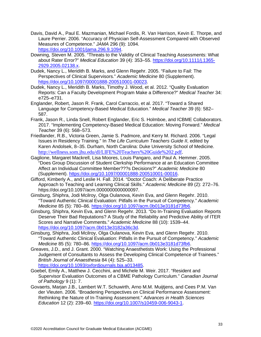- Davis, David A., Paul E. Mazmanian, Michael Fordis, R. Van Harrison, Kevin E. Thorpe, and Laure Perrier. 2006. "Accuracy of Physician Self-Assessment Compared with Observed Measures of Competence." *JAMA* 296 (9): 1094. [https://doi.org/10.1001/jama.296.9.1094.](https://doi.org/10.1001/jama.296.9.1094)
- Downing, Steven M. 2005. "Threats to the Validity of Clinical Teaching Assessments: What about Rater Error?" *Medical Education* 39 (4): 353–55. [https://doi.org/10.1111/j.1365-](https://doi.org/10.1111/j.1365-2929.2005.02138.x) [2929.2005.02138.x.](https://doi.org/10.1111/j.1365-2929.2005.02138.x)
- Dudek, Nancy L., Meridith B. Marks, and Glenn Regehr. 2005. "Failure to Fail: The Perspectives of Clinical Supervisors." *Academic Medicine* 80 (Supplement). [https://doi.org/10.1097/00001888-200510001-00023.](https://doi.org/10.1097/00001888-200510001-00023)
- Dudek, Nancy L., Meridith B. Marks, Timothy J. Wood, et al. 2012. "Quality Evaluation Reports: Can a Faculty Development Program Make a Difference?" *Medical Teacher* 34: e725–e731.
- Englander, Robert, Jason R. Frank, Carol Carraccio, et al. 2017. "Toward a Shared Language for Competency-Based Medical Education." *Medical Teacher* 39 (6): 582– 587.
- Frank, Jason R., Linda Snell, Robert Englander, Eric S. Holmboe, and ICBME Collaborators. 2017. "Implementing Competency-Based Medical Education: Moving Forward." *Medical Teacher* 39 (6): 568–573.
- Friedlander, R.B., Victoria Green, Jamie S. Padmore, and Kerry M. Richard. 2006. "Legal Issues in Residency Training." In *The Life Curriculum Teachers Guide II*, edited by Karen Andolsek, 8–35. Durham, North Carolina: Duke University School of Medicine. [http://wellness.som.jhu.edu/dl/LIFE%20Teachers%20Guide%202.pdf.](http://wellness.som.jhu.edu/dl/LIFE%20Teachers%20Guide%202.pdf)
- Gaglione, Margaret Mackrell, Lisa Moores, Louis Pangaro, and Paul A. Hemmer. 2005. "Does Group Discussion of Student Clerkship Performance at an Education Committee Affect an Individual Committee Member???s Decisions?" *Academic Medicine* 80 (Supplement). [https://doi.org/10.1097/00001888-200510001-00016.](https://doi.org/10.1097/00001888-200510001-00016)
- Gifford, Kimberly A., and Leslie H. Fall. 2014. "Doctor Coach: A Deliberate Practice Approach to Teaching and Learning Clinical Skills." *Academic Medicine* 89 (2): 272–76. https://doi.org/10.1097/acm.0000000000000097.
- Ginsburg, Shiphra, Jodi Mcilroy, Olga Oulanova, Kevin Eva, and Glenn Regehr. 2010. "Toward Authentic Clinical Evaluation: Pitfalls in the Pursuit of Competency." *Academic Medicine* 85 (5): 780–86. [https://doi.org/10.1097/acm.0b013e3181d73fb6.](https://doi.org/10.1097/acm.0b013e3181d73fb6)
- Ginsburg, Shiphra, Kevin Eva, and Glenn Regehr. 2013. "Do In-Training Evaluation Reports Deserve Their Bad Reputations? A Study of the Reliability and Predictive Ability of ITER Scores and Narrative Comments." *Academic Medicine* 88 (10): 1539–44. [https://doi.org/10.1097/acm.0b013e3182a36c3d.](https://doi.org/10.1097/acm.0b013e3182a36c3d)
- Ginsburg, Shiphra, Jodi Mcilroy, Olga Oulanova, Kevin Eva, and Glenn Regehr. 2010. "Toward Authentic Clinical Evaluation: Pitfalls in the Pursuit of Competency." *Academic Medicine* 85 (5): 780–86. [https://doi.org/10.1097/acm.0b013e3181d73fb6.](https://doi.org/10.1097/acm.0b013e3181d73fb6)
- Greaves, J.D., and J. Grant. 2000. "Watching Anaesthetists Work: Using the Professional Judgement of Consultants to Assess the Developing Clinical Competence of Trainees." *British Journal of Anaesthesia* 84 (4): 525–33. [https://doi.org/10.1093/oxfordjournals.bja.a013485.](https://doi.org/10.1093/oxfordjournals.bja.a013485)
- Goebel, Emily A., Matthew J. Cecchini, and Michele M. Weir. 2017. "Resident and Supervisor Evaluation Outcomes of a CBME Pathology Curriculum." *Canadian Journal of Pathology* 9 (1): 7.
- Govaerts, Marjan J.B., Lambert W.T. Schuwirth, Arno M.M. Muijtjens, and Cees P.M. Van der Vleuten. 2006. "Broadening Perspectives on Clinical Performance Assessment: Rethinking the Nature of In-Training Assessment." *Advances in Health Sciences Education* 12 (2): 239–60. [https://doi.org/10.1007/s10459-006-9043-1.](https://doi.org/10.1007/s10459-006-9043-1)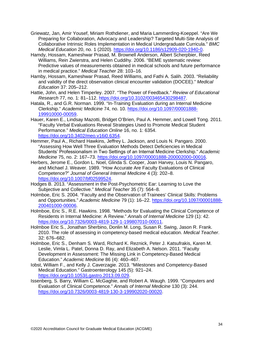- Griewatz, Jan, Amir Yousef, Miriam Rothdiener, and Maria Lammerding-Koeppel. "Are We Preparing for Collaboration, Advocacy and Leadership? Targeted Multi-Site Analysis of Collaborative Intrinsic Roles Implementation in Medical Undergraduate Curricula." *BMC Medical Education* 20, no. 1 (2020). [https://doi.org/10.1186/s12909-020-1940-0.](https://doi.org/10.1186/s12909-020-1940-0)
- Hamdy, Hossam, Kameshwar Prasad, M. Brownell Anderson, Albert Scherpbier, Reed Williams, Rein Zwierstra, and Helen Cuddihy. 2006. "BEME systematic review: Predictive values of measurements obtained in medical schools and future performance in medical practice." *Medical Teacher* 28: 103–16.
- Hamby, Hossam, Kameshwar Prasad, Reed Williams, and Fathi A. Salih. 2003. "Reliability and validity of the direct observation clinical encounter validation (DOCEE)." *Medical Education* 37: 205–212.
- Hattie, John, and Helen Timperley. 2007. "The Power of Feedback." *Review of Educational Research* 77, no. 1: 81–112. [https://doi.org/10.3102/003465430298487.](https://doi.org/10.3102/003465430298487)
- Hatala, R., and G.R. Norman. 1999. "In-Training Evaluation during an Internal Medicine Clerkship." *Academic Medicine* 74, no. 10. [https://doi.org/10.1097/00001888-](https://doi.org/10.1097/00001888-199910000-00059) [199910000-00059.](https://doi.org/10.1097/00001888-199910000-00059)
- Hauer, Karen E., Lindsay Mazotti, Bridget O'Brien, Paul A. Hemmer, and Lowell Tong. 2011. "Faculty Verbal Evaluations Reveal Strategies Used to Promote Medical Student Performance." *Medical Education Online* 16, no. 1: 6354. [https://doi.org/10.3402/meo.v16i0.6354.](https://doi.org/10.3402/meo.v16i0.6354)
- Hemmer, Paul A., Richard Hawkins, Jeffrey L. Jackson, and Louis N. Pangaro. 2000. "Assessing How Well Three Evaluation Methods Detect Deficiencies in Medical Students' Professionalism in Two Settings of an Internal Medicine Clerkship." *Academic Medicine* 75, no. 2: 167–73. [https://doi.org/10.1097/00001888-200002000-00016.](https://doi.org/10.1097/00001888-200002000-00016)
- Herbers, Jerome E., Gordon L. Noel, Glinda S. Cooper, Joan Harvey, Louis N. Pangaro, and Michael J. Weaver. 1989. "How Accurate Are Faculty Evaluations of Clinical Competence?" *Journal of General Internal Medicine* 4 (3): 202–8. [https://doi.org/10.1007/bf02599524.](https://doi.org/10.1007/bf02599524)
- Hodges B. 2013. "Assessment in the Post-Psychometric Ear: Learning to Love the Subjective and Collective." *Medical Teacher* 35 (7): 564–8.
- Holmboe, Eric S. 2004. "Faculty and the Observation of Trainees' Clinical Skills: Problems and Opportunities." *Academic Medicine* 79 (1): 16–22. [https://doi.org/10.1097/00001888-](https://doi.org/10.1097/00001888-200401000-00006) [200401000-00006.](https://doi.org/10.1097/00001888-200401000-00006)
- Holmboe, Eric S., R.E. Hawkins. 1998. "Methods for Evaluating the Clinical Competence of Residents in Internal Medicine: A Review." *Annals of Internal Medicine* 129 (1): 42. [https://doi.org/10.7326/0003-4819-129-1-199807010-00011.](https://doi.org/10.7326/0003-4819-129-1-199807010-00011)
- Holmboe Eric S., Jonathan Sherbino, Donlin M. Long, Susan R. Swing, Jason R. Frank. 2010. The role of assessing in competency-based medical education. *Medical Teacher*. 32: 676–682.
- Holmboe, Eric S., Denham S. Ward, Richard K. Reznick, Peter J. Katsufrakis, Karen M. Leslie, Vimla L. Patel, Donna D. Ray, and Elizabeth A. Nelson. 2011. "Faculty Development in Assessment: The Missing Link in Competency-Based Medical Education." *Academic Medicine* 86 (4): 460–467.
- Iobst, William F., and Kelly J. Caverzagie. 2013. "Milestones and Competency-Based Medical Education." Gastroenterology 145 (5): 921–24. [https://doi.org/10.1053/j.gastro.2013.09.029.](https://doi.org/10.1053/j.gastro.2013.09.029)
- Issenberg, S. Barry, William C. McGaghie, and Robert A. Waugh. 1999. "Computers and Evaluation of Clinical Competence." *Annals of Internal Medicine* 130 (3): 244. [https://doi.org/10.7326/0003-4819-130-3-199902020-00020.](https://doi.org/10.7326/0003-4819-130-3-199902020-00020)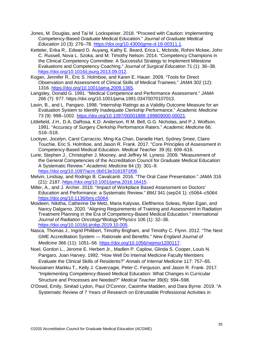- Jones, M. Douglas, and Tai M. Lockspeiser. 2018. "Proceed with Caution: Implementing Competency-Based Graduate Medical Education." *Journal of Graduate Medical Education* 10 (3): 276–78. [https://doi.org/10.4300/jgme-d-18-00311.1.](https://doi.org/10.4300/jgme-d-18-00311.1)
- Ketteler, Erika R., Edward D. Auyang, Kathy E. Beard, Erica L. Mcbride, Rohini Mckee, John C. Russell, Nova L. Szoka, and M. Timothy Nelson. 2014. "Competency Champions in the Clinical Competency Committee: A Successful Strategy to Implement Milestone Evaluations and Competency Coaching." *Journal of Surgical Education* 71 (1): 36–38. [https://doi.org/10.1016/j.jsurg.2013.09.012.](https://doi.org/10.1016/j.jsurg.2013.09.012)
- Kogan, Jennifer R., Eric S. Holmboe, and Karen E. Hauer. 2009. "Tools for Direct Observation and Assessment of Clinical Skills of Medical Trainees." *JAMA* 302 (12): 1316. [https://doi.org/10.1001/jama.2009.1365.](https://doi.org/10.1001/jama.2009.1365)
- Langsley, Donald G. 1991. "Medical Competence and Performance Assessment." *JAMA* 266 (7): 977. https://doi.org/10.1001/jama.1991.03470070107013.
- Lavin, B., and L. Pangaro. 1998. "Internship Ratings as a Validity Outcome Measure for an Evaluation System to Identify Inadequate Clerkship Performance." *Academic Medicine* 73 (9): 998–1002. [https://doi.org/10.1097/00001888-199809000-00021.](https://doi.org/10.1097/00001888-199809000-00021)
- Littlefield, J.H., D.A. DaRosa, K.D. Anderson, R.M. Bell, G.G. Nicholas, and P.J. Wolfson. 1991. "Accuracy of Surgery Clerkship Performance Raters." *Academic Medicine* 66: S16–S18.
- Lockyer, Jocelyn, Carol Carraccio, Ming-Ka Chan, Danielle Hart, Sydney Smee, Claire Touchie, Eric S. Holmboe, and Jason R. Frank. 2017. "Core Principles of Assessment in Competency-Based Medical Education. *Medical Teacher* 39 (6): 609–616.
- Lurie, Stephen J., Christopher J. Mooney, and Jeffrey M. Lyness. 2009. "Measurement of the General Competencies of the Accreditation Council for Graduate Medical Education: A Systematic Review." *Academic Medicine* 84 (3): 301–9. [https://doi.org/10.1097/acm.0b013e3181971f08.](https://doi.org/10.1097/acm.0b013e3181971f08)
- Melvin, Lindsay, and Rodrigo B. Cavalcanti. 2016. "The Oral Case Presentation." JAMA 316 (21): 2187. [https://doi.org/10.1001/jama.2016.16415.](https://doi.org/10.1001/jama.2016.16415)
- Miller, A., and J. Archer. 2010. "Impact of Workplace Based Assessment on Doctors' Education and Performance: a Systematic Review." *BMJ* 341 (sep24 1): c5064–c5064. [https://doi.org/10.1136/bmj.c5064.](https://doi.org/10.1136/bmj.c5064)
- Moideen, Nikitha, Catherine De Metz, Maria Kalyvas, Eleftherios Soleas, Rylan Egan, and Nancy Dalgarno. 2020. "Aligning Requirements of Training and Assessment in Radiation Treatment Planning in the Era of Competency-Based Medical Education." *International Journal of Radiation Oncology\*Biology\*Physics* 106 (1): 32–36. [https://doi.org/10.1016/j.ijrobp.2019.10.005.](https://doi.org/10.1016/j.ijrobp.2019.10.005)
- Nasca, Thomas J., Ingrid Philibert, Timothy Brigham, and Timothy C. Flynn. 2012. "The Next GME Accreditation System — Rationale and Benefits." *New England Journal of Medicine* 366 (11): 1051–56. [https://doi.org/10.1056/nejmsr1200117.](https://doi.org/10.1056/nejmsr1200117)
- Noel, Gordon L., Jerome E. Herbert Jr., Madlen P. Caplow, Glinda S. Cooper, Louis N. Pangaro, Joan Harvey. 1992. "How Well Do Internal Medicine Faculty Members Evaluate the Clinical Skills of Residents?" *Annals of Internal Medicine* 117: 757–65.
- Nousiainen Markku T., Kelly J. Caverzagie, Peter C. Ferguson, and Jason R. Frank. 2017. "Implementing Competency-Based Medical Education: What Changes in Curricular Structure and Processes are Needed?" *Medical Teacher* 39(6): 594–598.
- O'Dowd, Emily, Sinéad Lydon, Paul O'Connor, Caoimhe Madden, and Dara Byrne. 2019. "A Systematic Review of 7 Years of Research on Entrustable Professional Activities in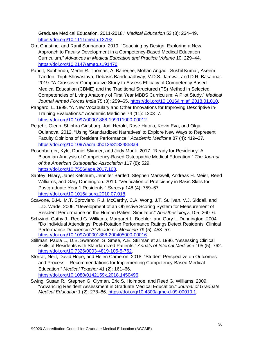Graduate Medical Education, 2011-2018." *Medical Education* 53 (3): 234–49. [https://doi.org/10.1111/medu.13792.](https://doi.org/10.1111/medu.13792)

- Orr, Christine, and Ranil Sonnadara. 2019. "Coaching by Design: Exploring a New Approach to Faculty Development in a Competency-Based Medical Education Curriculum." *Advances in Medical Education and Practice Volume* 10: 229–44. [https://doi.org/10.2147/amep.s191470.](https://doi.org/10.2147/amep.s191470)
- Pandit, Subhendu, Merlin R. Thomas, A. Banerjee, Mohan Angadi, Sushil Kumar, Aseem Tandon, Tripti Shrivastava, Debasis Bandopadhyay, V.D.S. Jamwal, and D.R. Basannar. 2019. "A Crossover Comparative Study to Assess Efficacy of Competency Based Medical Education (CBME) and the Traditional Structured (TS) Method in Selected Competencies of Living Anatomy of First Year MBBS Curriculum: A Pilot Study." *Medical Journal Armed Forces India* 75 (3): 259–65. [https://doi.org/10.1016/j.mjafi.2018.01.010.](https://doi.org/10.1016/j.mjafi.2018.01.010)
- Pangaro, L. 1999. "A New Vocabulary and Other Innovations for Improving Descriptive in-Training Evaluations." Academic Medicine 74 (11): 1203–7. [https://doi.org/10.1097/00001888-199911000-00012.](https://doi.org/10.1097/00001888-199911000-00012)
- Regehr, Glenn, Shiphra Ginsburg, Jodi Herold, Rose Hatala, Kevin Eva, and Olga Oulanova. 2012. "Using 'Standardized Narratives' to Explore New Ways to Represent Faculty Opinions of Resident Performance." *Academic Medicine* 87 (4): 419–27. [https://doi.org/10.1097/acm.0b013e31824858a9.](https://doi.org/10.1097/acm.0b013e31824858a9)
- Rosenberger, Kyle, Daniel Skinner, and Jody Monk. 2017. "Ready for Residency: A Bloomian Analysis of Competency-Based Osteopathic Medical Education." *The Journal of the American Osteopathic Association* 117 (8): 529. [https://doi.org/10.7556/jaoa.2017.103.](https://doi.org/10.7556/jaoa.2017.103)
- Sanfey, Hilary, Janet Ketchum, Jennifer Bartlett, Stephen Markwell, Andreas H. Meier, Reed Williams, and Gary Dunnington. 2010. "Verification of Proficiency in Basic Skills for Postgraduate Year 1 Residents." *Surgery* 148 (4): 759–67. [https://doi.org/10.1016/j.surg.2010.07.018.](https://doi.org/10.1016/j.surg.2010.07.018)
- Scavone, B.M., M.T. Sproviero, R.J. McCarthy, C.A. Wong, J.T. Sullivan, V.J. Siddall, and L.D. Wade. 2006. "Development of an Objective Scoring System for Measurement of Resident Performance on the Human Patient Simulator." *Anesthesiology*. 105: 260–6.
- Schwind, Cathy J., Reed G. Williams, Margaret L. Boehler, and Gary L. Dunnington. 2004. "Do Individual Attendings' Post-Rotation Performance Ratings Detect Residents' Clinical Performance Deficiencies?" *Academic Medicine* 79 (5): 453–57. [https://doi.org/10.1097/00001888-200405000-00016.](https://doi.org/10.1097/00001888-200405000-00016)
- Stillman, Paula L., D.B. Swanson, S. Smee, A.E. Stillman et al. 1986. "Assessing Clinical Skills of Residents with Standardized Patients." *Annals of Internal Medicine* 105 (5): 762. [https://doi.org/10.7326/0003-4819-105-5-762.](https://doi.org/10.7326/0003-4819-105-5-762)
- Storrar, Neill, David Hope, and Helen Cameron. 2018. "Student Perspective on Outcomes and Process – Recommendations for Implementing Competency-Based Medical Education." *Medical Teacher* 41 (2): 161–66. [https://doi.org/10.1080/0142159x.2018.1450496.](https://doi.org/10.1080/0142159x.2018.1450496)
- Swing, Susan R., Stephen G. Clyman, Eric S. Holmboe, and Reed G. Williams. 2009. "Advancing Resident Assessment in Graduate Medical Education." *Journal of Graduate Medical Education* 1 (2): 278–86. [https://doi.org/10.4300/jgme-d-09-00010.1.](https://doi.org/10.4300/jgme-d-09-00010.1)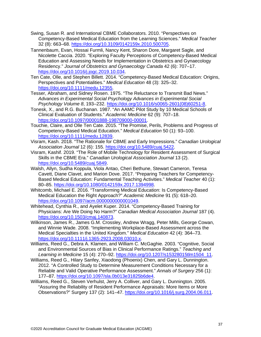- Swing, Susan R. and International CBME Collaborators. 2010. "Perspectives on Competency-Based Medical Education from the Learning Sciences." *Medical Teacher* 32 (8): 663–68. [https://doi.org/10.3109/0142159x.2010.500705.](https://doi.org/10.3109/0142159x.2010.500705)
- Tannenbaum, Evan, Hossai Furmli, Nancy Kent, Sharon Dore, Margaret Sagle, and Nicolette Caccia. 2020. "Exploring Faculty Perceptions of Competency-Based Medical Education and Assessing Needs for Implementation in Obstetrics and Gynaecology Residency." *Journal of Obstetrics and Gynaecology Canada* 42 (6): 707–17. [https://doi.org/10.1016/j.jogc.2019.10.034.](https://doi.org/10.1016/j.jogc.2019.10.034)
- Ten Cate, Olle, and Stephen Billett. 2014. "Competency-Based Medical Education: Origins, Perspectives and Potentialities." *Medical Education* 48 (3): 325–32. [https://doi.org/10.1111/medu.12355.](https://doi.org/10.1111/medu.12355)
- Tesser, Abraham, and Sidney Rosen. 1975. "The Reluctance to Transmit Bad News." *Advances in Experimental Social Psychology Advances in Experimental Social Psychology Volume 8*, 193–232. [https://doi.org/10.1016/s0065-2601\(08\)60251-8.](https://doi.org/10.1016/s0065-2601(08)60251-8)
- Tonesk, X., and R.G. Buchanan. 1987. "An AAMC Pilot Study by 10 Medical Schools of Clinical Evaluation of Students." *Academic Medicine* 62 (9): 707–18. [https://doi.org/10.1097/00001888-198709000-00001.](https://doi.org/10.1097/00001888-198709000-00001)
- Touchie, Claire, and Olle Ten Cate. 2015. "The Promise, Perils, Problems and Progress of Competency-Based Medical Education." *Medical Education* 50 (1): 93–100. [https://doi.org/10.1111/medu.12839.](https://doi.org/10.1111/medu.12839)
- Visram, Kash. 2018. "The Rationale for CBME and Early Impressions." *Canadian Urological Association Journal* 12 (6): 155. [https://doi.org/10.5489/cuaj.5422.](https://doi.org/10.5489/cuaj.5422)
- Visram, Kashif. 2019. "The Role of Mobile Technology for Resident Assessment of Surgical Skills in the CBME Era." *Canadian Urological Association Journal* 13 (2). [https://doi.org/10.5489/cuaj.5849.](https://doi.org/10.5489/cuaj.5849)
- Walsh, Allyn, Sudha Koppula, Viola Antao, Cheri Bethune, Stewart Cameron, Teresa Cavett, Diane Clavet, and Marion Dove. 2017. "Preparing Teachers for Competency-Based Medical Education: Fundamental Teaching Activities." *Medical Teacher* 40 (1): 80–85. [https://doi.org/10.1080/0142159x.2017.1394998.](https://doi.org/10.1080/0142159x.2017.1394998)
- Whitcomb, Michael E. 2016. "Transforming Medical Education: Is Competency-Based Medical Education the Right Approach?" *Academic Medicine* 91 (5): 618–20. [https://doi.org/10.1097/acm.0000000000001049.](https://doi.org/10.1097/acm.0000000000001049)
- Whitehead, Cynthia R., and Ayelet Kuper. 2014. "Competency-Based Training for Physicians: Are We Doing No Harm?" *Canadian Medical Association Journal* 187 (4). [https://doi.org/10.1503/cmaj.140873.](https://doi.org/10.1503/cmaj.140873)
- Wilkinson, James R., James G.M. Crossley, Andrew Wragg, Peter Mills, George Cowan, and Winnie Wade. 2008. "Implementing Workplace-Based Assessment across the Medical Specialties in the United Kingdom." *Medical Education* 42 (4): 364–73. [https://doi.org/10.1111/j.1365-2923.2008.03010.x.](https://doi.org/10.1111/j.1365-2923.2008.03010.x)
- Williams, Reed G., Debra A. Klamen, and William C. McGaghie. 2003. "Cognitive, Social and Environmental Sources of Bias in Clinical Performance Ratings." *Teaching and Learning in Medicine* 15 (4): 270–92. [https://doi.org/10.1207/s15328015tlm1504\\_11.](https://doi.org/10.1207/s15328015tlm1504_11)
- Williams, Reed G., Hilary Sanfey, Xiaodong (Phoenix) Chen, and Gary L. Dunnington. 2012. "A Controlled Study to Determine Measurement Conditions Necessary for a Reliable and Valid Operative Performance Assessment." *Annals of Surgery* 256 (1): 177–87. [https://doi.org/10.1097/sla.0b013e31825b6de4.](https://doi.org/10.1097/sla.0b013e31825b6de4)
- Williams, Reed G., Steven Verhulst, Jerry A. Colliver, and Gary L. Dunnington. 2005. "Assuring the Reliability of Resident Performance Appraisals: More Items or More Observations?" Surgery 137 (2): 141-47. [https://doi.org/10.1016/j.surg.2004.06.011.](https://doi.org/10.1016/j.surg.2004.06.011)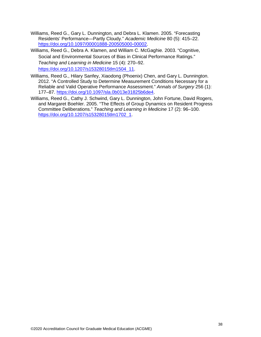- Williams, Reed G., Gary L. Dunnington, and Debra L. Klamen. 2005. "Forecasting Residents' Performance—Partly Cloudy." *Academic Medicine* 80 (5): 415–22. [https://doi.org/10.1097/00001888-200505000-00002.](https://doi.org/10.1097/00001888-200505000-00002)
- Williams, Reed G., Debra A. Klamen, and William C. McGaghie. 2003. "Cognitive, Social and Environmental Sources of Bias in Clinical Performance Ratings." *Teaching and Learning in Medicine* 15 (4): 270–92. [https://doi.org/10.1207/s15328015tlm1504\\_11.](https://doi.org/10.1207/s15328015tlm1504_11)
- Williams, Reed G., Hilary Sanfey, Xiaodong (Phoenix) Chen, and Gary L. Dunnington. 2012. "A Controlled Study to Determine Measurement Conditions Necessary for a Reliable and Valid Operative Performance Assessment." *Annals of Surgery* 256 (1): 177–87. [https://doi.org/10.1097/sla.0b013e31825b6de4.](https://doi.org/10.1097/sla.0b013e31825b6de4)
- Williams, Reed G., Cathy J. Schwind, Gary L. Dunnington, John Fortune, David Rogers, and Margaret Boehler. 2005. "The Effects of Group Dynamics on Resident Progress Committee Deliberations." *Teaching and Learning in Medicine* 17 (2): 96–100. [https://doi.org/10.1207/s15328015tlm1702\\_1.](https://doi.org/10.1207/s15328015tlm1702_1)